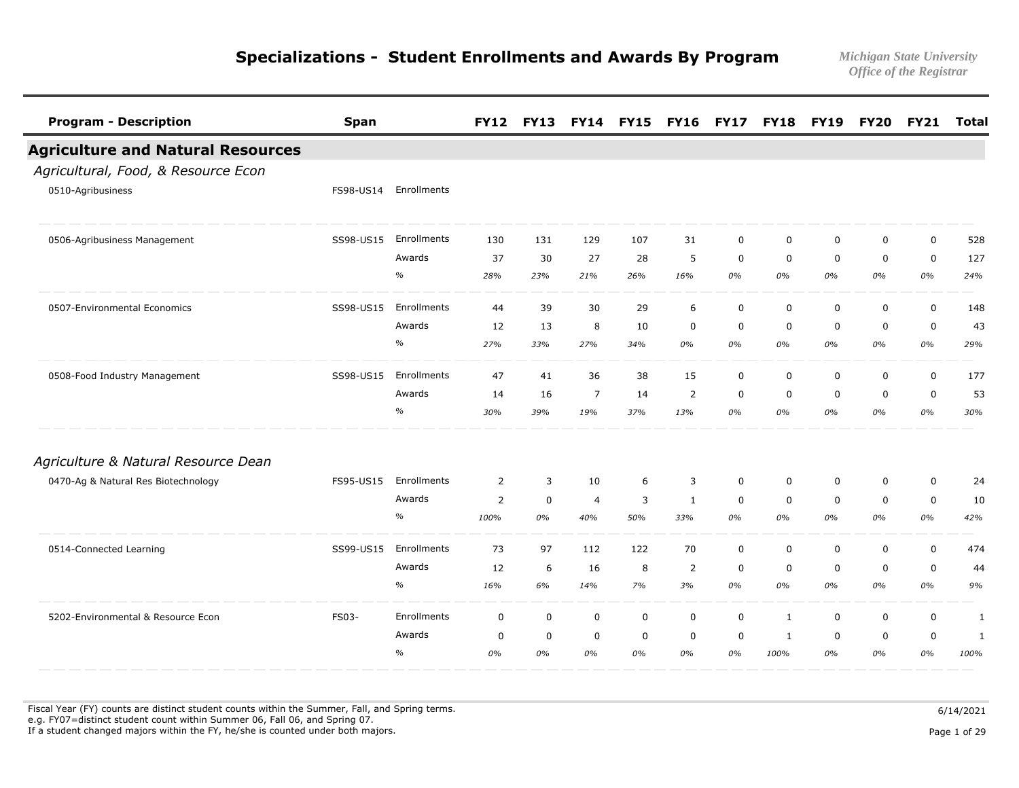| <b>Program - Description</b>             | <b>Span</b> |               | <b>FY12</b> | <b>FY13</b> | <b>FY14</b>    | <b>FY15</b> | <b>FY16</b>    | <b>FY17</b> | <b>FY18</b>  | <b>FY19</b> | <b>FY20</b> | <b>FY21</b> | <b>Total</b> |
|------------------------------------------|-------------|---------------|-------------|-------------|----------------|-------------|----------------|-------------|--------------|-------------|-------------|-------------|--------------|
| <b>Agriculture and Natural Resources</b> |             |               |             |             |                |             |                |             |              |             |             |             |              |
| Agricultural, Food, & Resource Econ      |             |               |             |             |                |             |                |             |              |             |             |             |              |
| 0510-Agribusiness                        | FS98-US14   | Enrollments   |             |             |                |             |                |             |              |             |             |             |              |
| 0506-Agribusiness Management             | SS98-US15   | Enrollments   | 130         | 131         | 129            | 107         | 31             | $\mathbf 0$ | $\mathbf 0$  | $\mathbf 0$ | $\mathbf 0$ | $\mathbf 0$ | 528          |
|                                          |             | Awards        | 37          | 30          | 27             | 28          | 5              | $\mathbf 0$ | 0            | 0           | $\mathbf 0$ | $\mathbf 0$ | 127          |
|                                          |             | $\%$          | 28%         | 23%         | 21%            | 26%         | 16%            | 0%          | 0%           | 0%          | 0%          | 0%          | 24%          |
| 0507-Environmental Economics             | SS98-US15   | Enrollments   | 44          | 39          | 30             | 29          | 6              | $\mathbf 0$ | $\mathbf 0$  | $\mathbf 0$ | $\mathbf 0$ | 0           | 148          |
|                                          |             | Awards        | 12          | 13          | 8              | 10          | $\mathbf 0$    | $\mathbf 0$ | $\mathbf 0$  | $\mathbf 0$ | $\mathbf 0$ | 0           | 43           |
|                                          |             | $\frac{o}{o}$ | 27%         | 33%         | 27%            | 34%         | 0%             | 0%          | 0%           | 0%          | 0%          | 0%          | 29%          |
| 0508-Food Industry Management            | SS98-US15   | Enrollments   | 47          | 41          | 36             | 38          | 15             | $\mathbf 0$ | $\mathbf 0$  | $\mathbf 0$ | $\mathbf 0$ | $\mathbf 0$ | 177          |
|                                          |             | Awards        | 14          | 16          | 7              | 14          | $\overline{2}$ | $\mathbf 0$ | $\mathbf 0$  | $\mathbf 0$ | $\mathbf 0$ | 0           | 53           |
|                                          |             | $\frac{o}{o}$ | 30%         | 39%         | 19%            | 37%         | 13%            | 0%          | 0%           | 0%          | 0%          | 0%          | 30%          |
| Agriculture & Natural Resource Dean      |             |               |             |             |                |             |                |             |              |             |             |             |              |
| 0470-Ag & Natural Res Biotechnology      | FS95-US15   | Enrollments   | 2           | 3           | 10             | 6           | 3              | $\mathbf 0$ | $\mathbf 0$  | $\mathbf 0$ | $\mathbf 0$ | $\pmb{0}$   | 24           |
|                                          |             | Awards        | 2           | $\mathsf 0$ | $\overline{a}$ | 3           | $\mathbf{1}$   | $\mathbf 0$ | $\mathbf 0$  | $\mathbf 0$ | $\mathbf 0$ | 0           | 10           |
|                                          |             | $\%$          | 100%        | 0%          | 40%            | 50%         | 33%            | 0%          | 0%           | 0%          | 0%          | 0%          | 42%          |
| 0514-Connected Learning                  | SS99-US15   | Enrollments   | 73          | 97          | 112            | 122         | 70             | $\mathbf 0$ | $\mathbf 0$  | $\mathbf 0$ | $\mathbf 0$ | $\mathsf 0$ | 474          |
|                                          |             | Awards        | 12          | 6           | 16             | 8           | $\overline{2}$ | $\mathbf 0$ | $\mathbf 0$  | $\mathbf 0$ | $\mathbf 0$ | 0           | 44           |
|                                          |             | $\%$          | 16%         | 6%          | 14%            | 7%          | 3%             | 0%          | 0%           | 0%          | 0%          | 0%          | 9%           |
| 5202-Environmental & Resource Econ       | FS03-       | Enrollments   | $\mathbf 0$ | $\mathbf 0$ | $\mathbf 0$    | $\mathbf 0$ | $\mathbf 0$    | $\mathbf 0$ | $\mathbf{1}$ | $\mathbf 0$ | $\mathbf 0$ | $\mathbf 0$ | 1            |
|                                          |             | Awards        | $\mathbf 0$ | 0           | $\mathbf 0$    | 0           | 0              | 0           | 1            | 0           | $\mathbf 0$ | 0           | 1            |
|                                          |             | $\%$          | 0%          | 0%          | 0%             | 0%          | 0%             | 0%          | 100%         | 0%          | 0%          | 0%          | 100%         |

Fiscal Year (FY) counts are distinct student counts within the Summer, Fall, and Spring terms.  $6/14/2021$  e.g. FY07=distinct student count within Summer 06, Fall 06, and Spring 07. If a student changed majors within the FY, he/she is counted under both majors. Page 1 of 29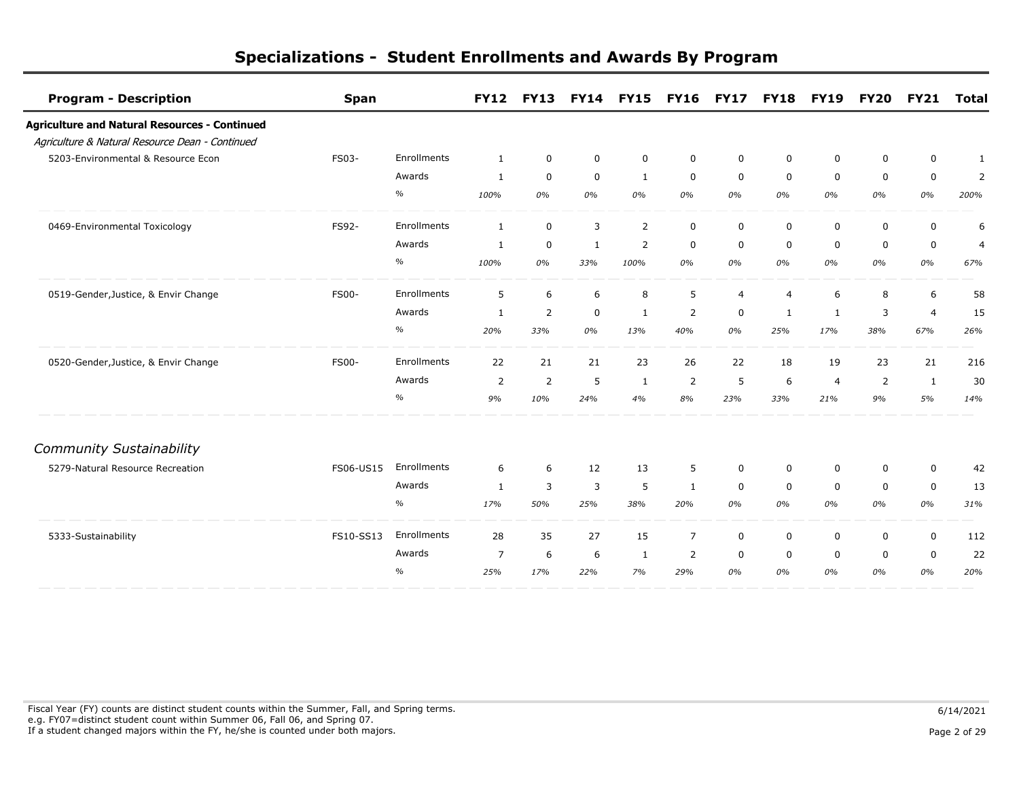| <b>Program - Description</b>                         | <b>Span</b>  |             | <b>FY12</b>    | <b>FY13</b>    | <b>FY14</b>    | <b>FY15</b>  | <b>FY16</b>    | <b>FY17</b>    | <b>FY18</b>    | <b>FY19</b>    | <b>FY20</b>    | <b>FY21</b>    | <b>Total</b>   |
|------------------------------------------------------|--------------|-------------|----------------|----------------|----------------|--------------|----------------|----------------|----------------|----------------|----------------|----------------|----------------|
| <b>Agriculture and Natural Resources - Continued</b> |              |             |                |                |                |              |                |                |                |                |                |                |                |
| Agriculture & Natural Resource Dean - Continued      |              |             |                |                |                |              |                |                |                |                |                |                |                |
| 5203-Environmental & Resource Econ                   | FS03-        | Enrollments | 1              | $\mathbf 0$    | $\mathbf 0$    | $\mathbf 0$  | $\mathsf 0$    | $\mathbf 0$    | $\mathbf 0$    | 0              | $\mathbf 0$    | $\mathbf 0$    | 1              |
|                                                      |              | Awards      | 1              | $\mathbf 0$    | $\mathbf 0$    | $\mathbf{1}$ | $\mathbf 0$    | $\mathsf 0$    | $\mathbf 0$    | $\mathbf 0$    | $\mathbf 0$    | 0              | $\overline{2}$ |
|                                                      |              | $\%$        | 100%           | 0%             | 0%             | 0%           | 0%             | 0%             | 0%             | 0%             | 0%             | 0%             | 200%           |
| 0469-Environmental Toxicology                        | FS92-        | Enrollments | $\mathbf{1}$   | $\mathbf 0$    | 3              | 2            | $\mathbf 0$    | $\mathbf 0$    | 0              | 0              | $\mathbf 0$    | 0              | 6              |
|                                                      |              | Awards      | 1              | $\mathbf 0$    | $\mathbf{1}$   | 2            | $\mathbf 0$    | $\mathbf 0$    | $\mathbf 0$    | 0              | $\mathbf 0$    | $\mathbf 0$    | $\overline{4}$ |
|                                                      |              | $\%$        | 100%           | 0%             | 33%            | 100%         | 0%             | 0%             | 0%             | 0%             | 0%             | 0%             | 67%            |
| 0519-Gender, Justice, & Envir Change                 | <b>FS00-</b> | Enrollments | 5              | 6              | 6              | 8            | 5              | $\overline{4}$ | $\overline{4}$ | 6              | 8              | 6              | 58             |
|                                                      |              | Awards      | -1             | $\overline{2}$ | $\mathbf 0$    | 1            | $\overline{2}$ | 0              | 1              | 1              | 3              | $\overline{4}$ | 15             |
|                                                      |              | $\%$        | 20%            | 33%            | 0%             | 13%          | 40%            | 0%             | 25%            | 17%            | 38%            | 67%            | 26%            |
| 0520-Gender, Justice, & Envir Change                 | <b>FS00-</b> | Enrollments | 22             | 21             | 21             | 23           | 26             | 22             | 18             | 19             | 23             | 21             | 216            |
|                                                      |              | Awards      | $\overline{2}$ | 2              | 5              | 1            | $\overline{2}$ | 5              | 6              | $\overline{4}$ | $\overline{2}$ | 1              | 30             |
|                                                      |              | $\%$        | 9%             | 10%            | 24%            | 4%           | 8%             | 23%            | 33%            | 21%            | 9%             | 5%             | 14%            |
| <b>Community Sustainability</b>                      |              |             |                |                |                |              |                |                |                |                |                |                |                |
| 5279-Natural Resource Recreation                     | FS06-US15    | Enrollments | 6              | 6              | 12             | 13           | 5              | $\mathbf 0$    | $\mathbf 0$    | 0              | $\mathbf 0$    | 0              | 42             |
|                                                      |              | Awards      | $\mathbf{1}$   | 3              | $\overline{3}$ | 5            | $\mathbf{1}$   | $\mathbf 0$    | $\mathbf 0$    | $\mathbf 0$    | $\mathbf 0$    | $\mathbf 0$    | 13             |
|                                                      |              | $\%$        | 17%            | 50%            | 25%            | 38%          | 20%            | 0%             | 0%             | 0%             | 0%             | 0%             | 31%            |
| 5333-Sustainability                                  | FS10-SS13    | Enrollments | 28             | 35             | 27             | 15           | $\overline{7}$ | 0              | $\mathbf 0$    | 0              | $\mathbf 0$    | $\mathbf 0$    | 112            |
|                                                      |              | Awards      | $\overline{7}$ | 6              | 6              | 1            | 2              | 0              | 0              | 0              | $\mathbf 0$    | $\mathbf 0$    | 22             |
|                                                      |              | $\%$        | 25%            | 17%            | 22%            | 7%           | 29%            | 0%             | 0%             | 0%             | 0%             | 0%             | 20%            |

Fiscal Year (FY) counts are distinct student counts within the Summer, Fall, and Spring terms.  $6/14/2021$  e.g. FY07=distinct student count within Summer 06, Fall 06, and Spring 07. If a student changed majors within the FY, he/she is counted under both majors. Page 2 of 29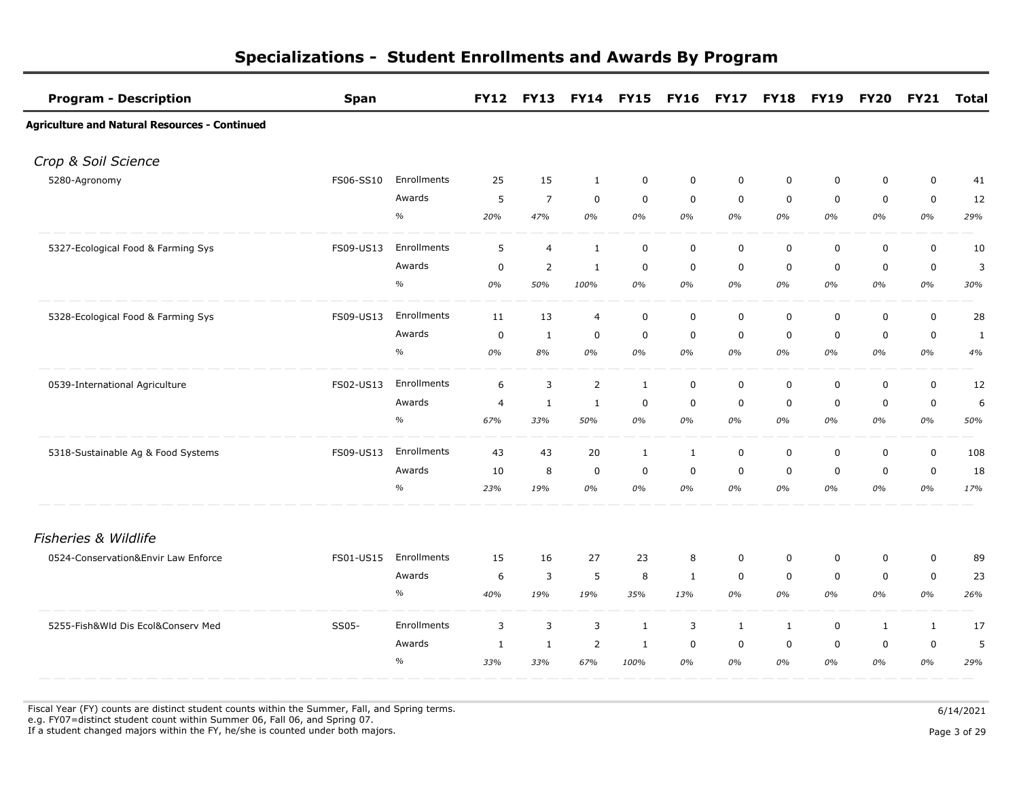| <b>Program - Description</b>                         | <b>Span</b> |             |                |                |                | FY12 FY13 FY14 FY15 FY16 FY17 FY18 FY19 |                |              |              |             |              | FY20 FY21 Total |     |
|------------------------------------------------------|-------------|-------------|----------------|----------------|----------------|-----------------------------------------|----------------|--------------|--------------|-------------|--------------|-----------------|-----|
| <b>Agriculture and Natural Resources - Continued</b> |             |             |                |                |                |                                         |                |              |              |             |              |                 |     |
| Crop & Soil Science                                  |             |             |                |                |                |                                         |                |              |              |             |              |                 |     |
| 5280-Agronomy                                        | FS06-SS10   | Enrollments | 25             | 15             | $\mathbf{1}$   | $\mathbf 0$                             | $\mathbf 0$    | $\mathbf 0$  | $\mathbf 0$  | $\mathbf 0$ | $\mathbf 0$  | $\mathbf 0$     | 41  |
|                                                      |             | Awards      | 5              | $\overline{7}$ | $\mathbf 0$    | $\mathbf 0$                             | $\mathbf 0$    | $\mathbf 0$  | $\mathbf 0$  | $\mathbf 0$ | $\mathbf 0$  | $\mathbf 0$     | 12  |
|                                                      |             | $\%$        | 20%            | 47%            | 0%             | 0%                                      | 0%             | 0%           | 0%           | 0%          | 0%           | 0%              | 29% |
| 5327-Ecological Food & Farming Sys                   | FS09-US13   | Enrollments | 5              | $\overline{4}$ | $\mathbf{1}$   | $\mathbf 0$                             | $\mathbf 0$    | $\mathsf 0$  | $\mathbf 0$  | $\mathbf 0$ | $\mathbf 0$  | $\pmb{0}$       | 10  |
|                                                      |             | Awards      | 0              | 2              | $\mathbf{1}$   | 0                                       | $\mathbf 0$    | 0            | $\mathbf 0$  | 0           | $\mathbf 0$  | $\mathbf 0$     | 3   |
|                                                      |             | $\%$        | 0%             | 50%            | 100%           | $0\%$                                   | 0%             | 0%           | 0%           | 0%          | 0%           | 0%              | 30% |
| 5328-Ecological Food & Farming Sys                   | FS09-US13   | Enrollments | 11             | 13             | $\overline{4}$ | $\mathbf 0$                             | $\mathbf 0$    | $\mathbf 0$  | $\mathbf 0$  | $\mathbf 0$ | $\mathbf 0$  | $\pmb{0}$       | 28  |
|                                                      |             | Awards      | $\mathbf 0$    | 1              | $\mathbf 0$    | 0                                       | $\mathbf 0$    | $\mathbf 0$  | $\mathbf 0$  | 0           | $\mathbf 0$  | $\mathbf 0$     | 1   |
|                                                      |             | $\%$        | 0%             | 8%             | 0%             | 0%                                      | 0%             | 0%           | 0%           | 0%          | 0%           | 0%              | 4%  |
| 0539-International Agriculture                       | FS02-US13   | Enrollments | 6              | $\overline{3}$ | $\overline{2}$ | $\mathbf{1}$                            | $\mathbf 0$    | $\mathbf 0$  | $\mathsf 0$  | 0           | $\pmb{0}$    | $\mathbf 0$     | 12  |
|                                                      |             | Awards      | $\overline{4}$ | $\mathbf{1}$   | $\mathbf{1}$   | $\mathbf 0$                             | $\mathbf 0$    | $\mathbf 0$  | $\mathbf 0$  | $\mathbf 0$ | $\mathbf 0$  | $\mathbf 0$     | 6   |
|                                                      |             | $\%$        | 67%            | 33%            | 50%            | 0%                                      | 0%             | 0%           | 0%           | 0%          | 0%           | 0%              | 50% |
| 5318-Sustainable Ag & Food Systems                   | FS09-US13   | Enrollments | 43             | 43             | 20             | $\mathbf{1}$                            | $\mathbf{1}$   | $\mathbf 0$  | $\mathbf 0$  | $\mathbf 0$ | $\mathbf 0$  | $\mathbf 0$     | 108 |
|                                                      |             | Awards      | 10             | 8              | $\mathbf 0$    | $\mathbf 0$                             | $\mathbf 0$    | $\mathbf 0$  | $\mathbf 0$  | 0           | $\mathbf 0$  | $\mathbf 0$     | 18  |
|                                                      |             | $\%$        | 23%            | 19%            | 0%             | 0%                                      | 0%             | 0%           | 0%           | 0%          | 0%           | 0%              | 17% |
| Fisheries & Wildlife                                 |             |             |                |                |                |                                         |                |              |              |             |              |                 |     |
| 0524-Conservation&Envir Law Enforce                  | FS01-US15   | Enrollments | 15             | 16             | 27             | 23                                      | 8              | $\mathbf 0$  | $\mathbf 0$  | 0           | $\mathbf 0$  | $\pmb{0}$       | 89  |
|                                                      |             | Awards      | 6              | 3              | 5              | 8                                       | $\mathbf{1}$   | $\mathbf 0$  | $\mathbf 0$  | $\mathbf 0$ | $\mathbf 0$  | $\mathbf 0$     | 23  |
|                                                      |             | $\%$        | 40%            | 19%            | 19%            | 35%                                     | 13%            | 0%           | 0%           | 0%          | 0%           | 0%              | 26% |
| 5255-Fish&Wld Dis Ecol&Conserv Med                   | SS05-       | Enrollments | 3              | $\overline{3}$ | 3              | $\mathbf{1}$                            | $\overline{3}$ | $\mathbf{1}$ | $\mathbf{1}$ | $\mathbf 0$ | $\mathbf{1}$ | $\mathbf{1}$    | 17  |
|                                                      |             | Awards      | 1              | $\mathbf{1}$   | 2              | 1                                       | $\mathbf 0$    | 0            | $\mathbf 0$  | $\mathbf 0$ | $\mathbf 0$  | $\mathbf 0$     | 5   |
|                                                      |             | $\%$        | 33%            | 33%            | 67%            | 100%                                    | 0%             | 0%           | 0%           | 0%          | 0%           | 0%              | 29% |

Fiscal Year (FY) counts are distinct student counts within the Summer, Fall, and Spring terms.  $6/14/2021$  e.g. FY07=distinct student count within Summer 06, Fall 06, and Spring 07. If a student changed majors within the FY, he/she is counted under both majors. Page 3 of 29

Page 3 of 29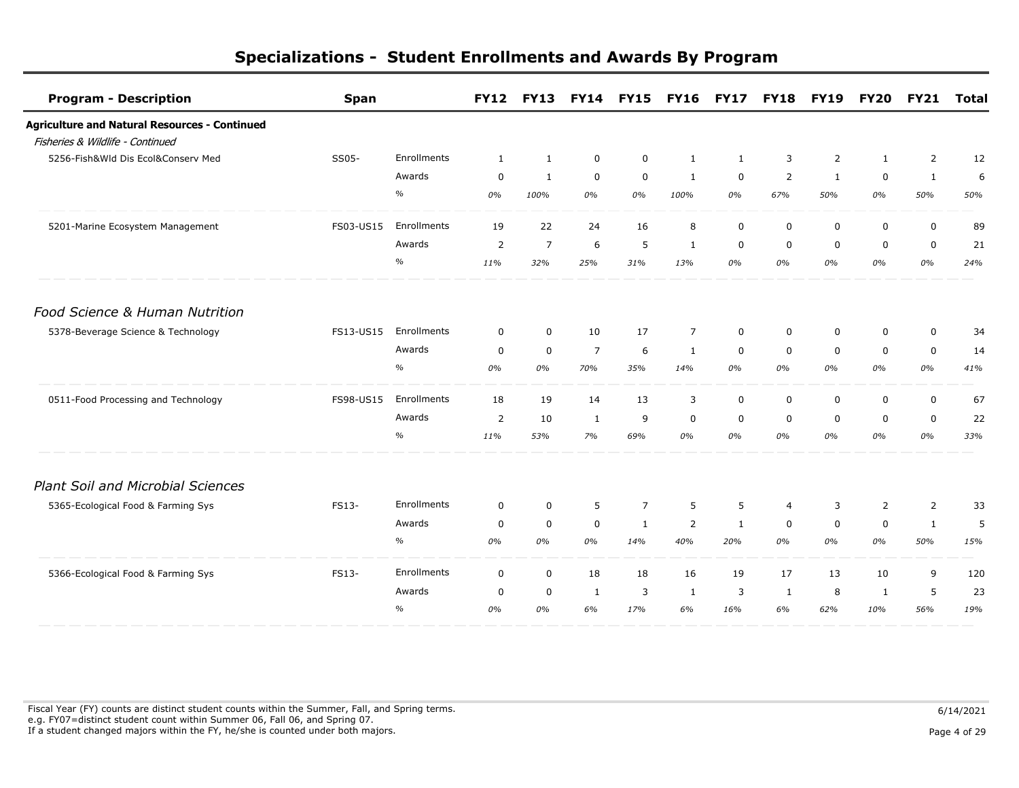| <b>Program - Description</b>                         | <b>Span</b> |             | <b>FY12</b>    | <b>FY13</b>    | <b>FY14</b>    | <b>FY15</b>    | <b>FY16</b>    | <b>FY17</b>  | <b>FY18</b>    | <b>FY19</b>    | <b>FY20</b>  | <b>FY21</b>    | <b>Total</b> |
|------------------------------------------------------|-------------|-------------|----------------|----------------|----------------|----------------|----------------|--------------|----------------|----------------|--------------|----------------|--------------|
| <b>Agriculture and Natural Resources - Continued</b> |             |             |                |                |                |                |                |              |                |                |              |                |              |
| Fisheries & Wildlife - Continued                     |             |             |                |                |                |                |                |              |                |                |              |                |              |
| 5256-Fish&Wld Dis Ecol&Conserv Med                   | SS05-       | Enrollments | $\mathbf{1}$   | $\mathbf{1}$   | $\mathbf 0$    | 0              | $\mathbf{1}$   | $\mathbf{1}$ | 3              | $\overline{2}$ | $\mathbf{1}$ | $\overline{2}$ | 12           |
|                                                      |             | Awards      | $\overline{0}$ | $\mathbf{1}$   | $\mathbf 0$    | $\mathbf 0$    | $\mathbf{1}$   | $\mathbf 0$  | $\overline{2}$ | $\mathbf{1}$   | $\mathbf 0$  | $\mathbf{1}$   | 6            |
|                                                      |             | $\%$        | 0%             | 100%           | 0%             | 0%             | 100%           | 0%           | 67%            | 50%            | 0%           | 50%            | 50%          |
| 5201-Marine Ecosystem Management                     | FS03-US15   | Enrollments | 19             | 22             | 24             | 16             | 8              | $\mathbf 0$  | 0              | $\mathbf 0$    | $\mathbf 0$  | $\mathbf 0$    | 89           |
|                                                      |             | Awards      | 2              | $\overline{7}$ | 6              | 5              | $\mathbf{1}$   | $\mathbf 0$  | $\mathbf 0$    | $\mathbf 0$    | $\mathbf 0$  | $\mathbf 0$    | 21           |
|                                                      |             | $\%$        | 11%            | 32%            | 25%            | 31%            | 13%            | 0%           | 0%             | 0%             | 0%           | 0%             | 24%          |
| Food Science & Human Nutrition                       |             |             |                |                |                |                |                |              |                |                |              |                |              |
| 5378-Beverage Science & Technology                   | FS13-US15   | Enrollments | $\mathbf 0$    | $\mathbf 0$    | 10             | 17             | $\overline{7}$ | $\mathbf 0$  | $\mathbf 0$    | $\mathbf 0$    | $\mathbf 0$  | $\mathbf 0$    | 34           |
|                                                      |             | Awards      | $\mathbf 0$    | $\mathbf 0$    | $\overline{7}$ | 6              | 1              | $\mathbf 0$  | $\Omega$       | $\Omega$       | $\mathbf 0$  | $\mathbf 0$    | 14           |
|                                                      |             | $\%$        | 0%             | 0%             | 70%            | 35%            | 14%            | 0%           | 0%             | 0%             | 0%           | 0%             | 41%          |
| 0511-Food Processing and Technology                  | FS98-US15   | Enrollments | 18             | 19             | 14             | 13             | 3              | $\mathbf 0$  | $\mathbf 0$    | 0              | $\mathbf 0$  | $\mathbf 0$    | 67           |
|                                                      |             | Awards      | 2              | 10             | $\mathbf{1}$   | 9              | $\mathbf 0$    | $\mathbf 0$  | $\mathbf 0$    | $\mathbf 0$    | $\mathbf 0$  | $\mathbf 0$    | 22           |
|                                                      |             | $\%$        | 11%            | 53%            | 7%             | 69%            | 0%             | 0%           | 0%             | 0%             | 0%           | 0%             | 33%          |
| <b>Plant Soil and Microbial Sciences</b>             |             |             |                |                |                |                |                |              |                |                |              |                |              |
| 5365-Ecological Food & Farming Sys                   | FS13-       | Enrollments | $\mathbf 0$    | $\mathbf 0$    | 5              | $\overline{7}$ | 5              | 5            | $\overline{4}$ | 3              | 2            | $\overline{2}$ | 33           |
|                                                      |             | Awards      | $\mathbf 0$    | $\mathbf 0$    | $\mathbf 0$    | 1              | 2              | $\mathbf{1}$ | $\mathbf 0$    | $\mathbf 0$    | $\mathbf 0$  | $\mathbf{1}$   | 5            |
|                                                      |             | $\%$        | 0%             | 0%             | 0%             | 14%            | 40%            | 20%          | 0%             | 0%             | 0%           | 50%            | 15%          |
| 5366-Ecological Food & Farming Sys                   | FS13-       | Enrollments | $\mathbf 0$    | $\mathbf 0$    | 18             | 18             | 16             | 19           | 17             | 13             | 10           | 9              | 120          |
|                                                      |             | Awards      | 0              | 0              | 1              | 3              | 1              | 3            | 1              | 8              | 1            | 5              | 23           |
|                                                      |             | $\%$        | 0%             | 0%             | 6%             | 17%            | 6%             | 16%          | 6%             | 62%            | 10%          | 56%            | 19%          |

Fiscal Year (FY) counts are distinct student counts within the Summer, Fall, and Spring terms.  $6/14/2021$  e.g. FY07=distinct student count within Summer 06, Fall 06, and Spring 07. If a student changed majors within the FY, he/she is counted under both majors. Page 4 of 29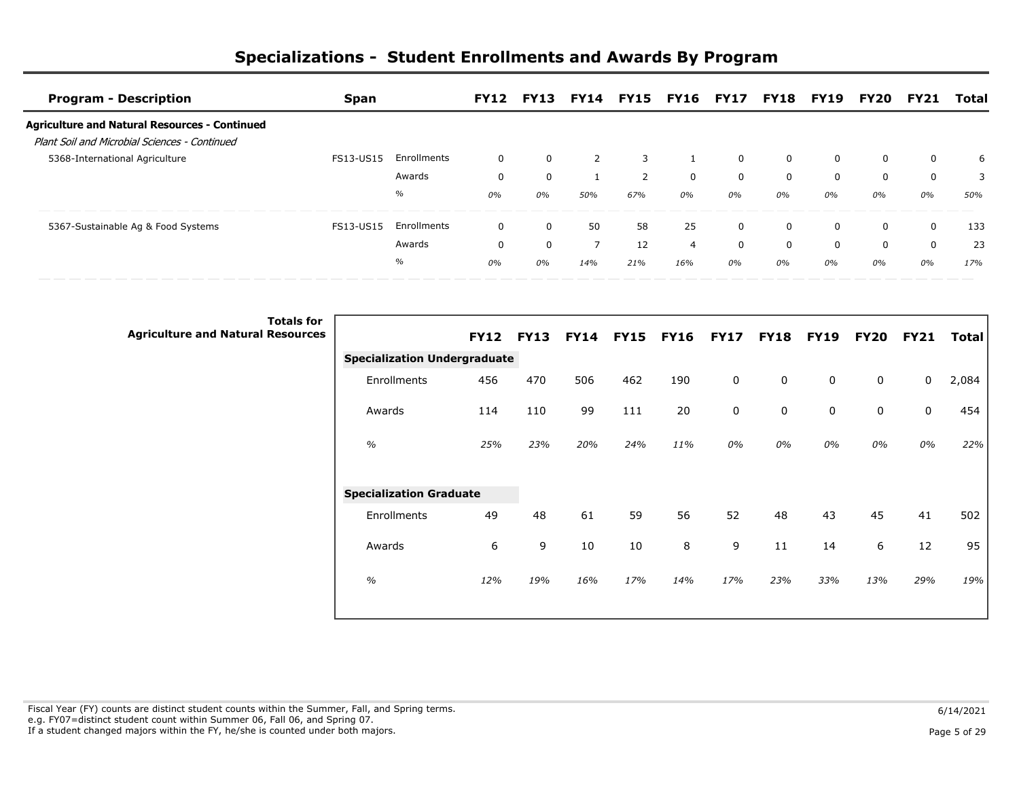| <b>Program - Description</b>                                                                          | Span             |             |          | <b>FY12 FY13</b> |     |     | FY14 FY15 FY16 FY17 FY18 FY19 FY20 |          |             |    |          | <b>FY21</b> | Total |
|-------------------------------------------------------------------------------------------------------|------------------|-------------|----------|------------------|-----|-----|------------------------------------|----------|-------------|----|----------|-------------|-------|
| <b>Agriculture and Natural Resources - Continued</b><br>Plant Soil and Microbial Sciences - Continued |                  |             |          |                  |     |     |                                    |          |             |    |          |             |       |
| 5368-International Agriculture                                                                        | <b>FS13-US15</b> | Enrollments | $\Omega$ | 0                |     |     |                                    | $\Omega$ | $\mathbf 0$ |    | $\Omega$ | 0           | 6     |
|                                                                                                       |                  | Awards      | 0        | 0                |     |     | $\Omega$                           |          | 0           |    | 0        | 0           |       |
|                                                                                                       |                  | $\%$        | 0%       | 0%               | 50% | 67% | $0\%$                              | $0\%$    | 0%          | 0% | 0%       | 0%          | 50%   |
| 5367-Sustainable Ag & Food Systems                                                                    | FS13-US15        | Enrollments | 0        | 0                | 50  | 58  | 25                                 | $\Omega$ | $\Omega$    |    | $\Omega$ | $\Omega$    | 133   |
|                                                                                                       |                  | Awards      | $\Omega$ | 0                | 7   | 12  | 4                                  |          | $\Omega$    |    | $\Omega$ | $\Omega$    | 23    |
|                                                                                                       |                  | $\%$        | 0%       | 0%               | 14% | 21% | 16%                                | $0\%$    | 0%          | 0% | 0%       | 0%          | 17%   |

| <b>Totals for</b><br><b>Agriculture and Natural Resources</b> |                                     |     | <b>FY12 FY13</b> |     | FY14 FY15 FY16 |     | <b>FY17</b> | <b>FY18</b> | <b>FY19</b> | <b>FY20</b> | <b>FY21</b> | <b>Total</b> |
|---------------------------------------------------------------|-------------------------------------|-----|------------------|-----|----------------|-----|-------------|-------------|-------------|-------------|-------------|--------------|
|                                                               | <b>Specialization Undergraduate</b> |     |                  |     |                |     |             |             |             |             |             |              |
|                                                               | Enrollments                         | 456 | 470              | 506 | 462            | 190 | 0           | 0           | 0           | 0           | 0           | 2,084        |
|                                                               | Awards                              | 114 | 110              | 99  | 111            | 20  | 0           | 0           | 0           | 0           | 0           | 454          |
|                                                               | $\%$                                | 25% | 23%              | 20% | 24%            | 11% | 0%          | 0%          | 0%          | 0%          | 0%          | 22%          |
|                                                               | <b>Specialization Graduate</b>      |     |                  |     |                |     |             |             |             |             |             |              |
|                                                               | Enrollments                         | 49  | 48               | 61  | 59             | 56  | 52          | 48          | 43          | 45          | 41          | 502          |
|                                                               | Awards                              | 6   | 9                | 10  | 10             | 8   | 9           | 11          | 14          | 6           | 12          | 95           |
|                                                               | $\frac{1}{2}$                       | 12% | 19%              | 16% | 17%            | 14% | 17%         | 23%         | 33%         | 13%         | 29%         | 19%          |
|                                                               |                                     |     |                  |     |                |     |             |             |             |             |             |              |

Fiscal Year (FY) counts are distinct student counts within the Summer, Fall, and Spring terms.  $6/14/2021$  e.g. FY07=distinct student count within Summer 06, Fall 06, and Spring 07. If a student changed majors within the FY, he/she is counted under both majors. Page 5 of 29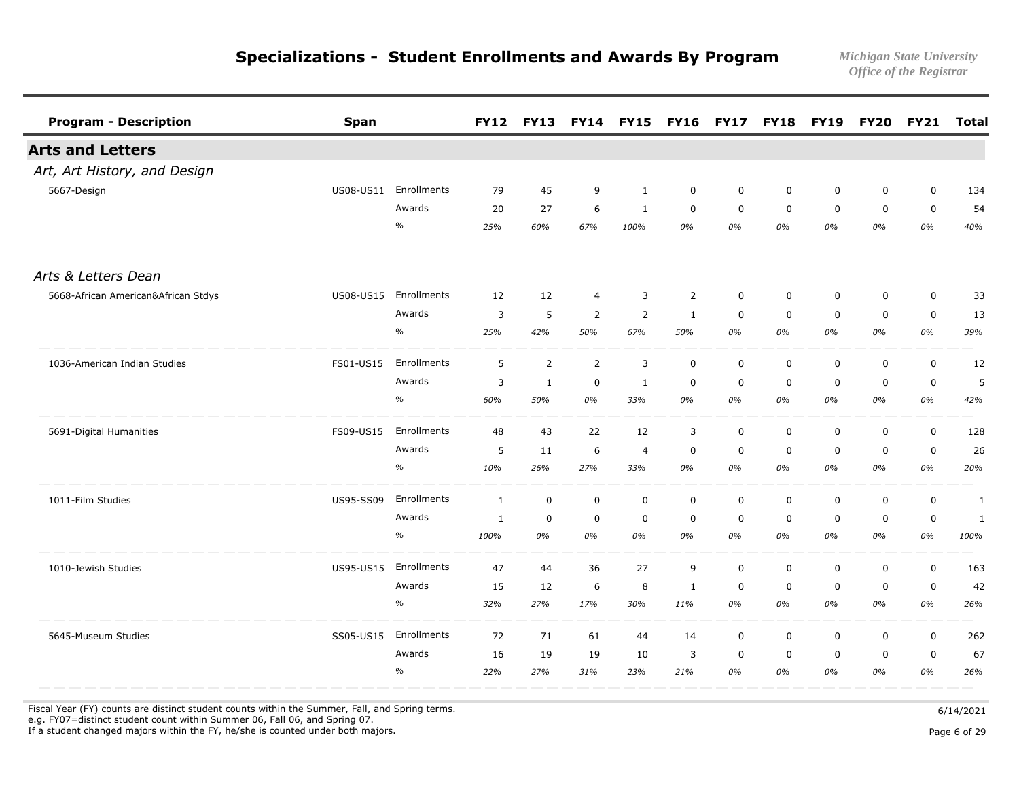| <b>Program - Description</b>        | Span             |               | <b>FY12</b>  | <b>FY13</b>    |                | FY14 FY15 FY16 |                | <b>FY17</b> | <b>FY18</b> | <b>FY19</b> | <b>FY20</b> | <b>FY21</b> | <b>Total</b> |
|-------------------------------------|------------------|---------------|--------------|----------------|----------------|----------------|----------------|-------------|-------------|-------------|-------------|-------------|--------------|
| <b>Arts and Letters</b>             |                  |               |              |                |                |                |                |             |             |             |             |             |              |
| Art, Art History, and Design        |                  |               |              |                |                |                |                |             |             |             |             |             |              |
| 5667-Design                         | US08-US11        | Enrollments   | 79           | 45             | 9              | $\mathbf{1}$   | $\mathbf 0$    | $\mathbf 0$ | $\mathbf 0$ | $\mathbf 0$ | $\mathbf 0$ | $\mathsf 0$ | 134          |
|                                     |                  | Awards        | 20           | 27             | 6              | $\mathbf{1}$   | $\mathbf 0$    | $\mathbf 0$ | $\mathbf 0$ | $\mathbf 0$ | $\mathbf 0$ | 0           | 54           |
|                                     |                  | $\frac{1}{2}$ | 25%          | 60%            | 67%            | 100%           | 0%             | 0%          | 0%          | 0%          | 0%          | 0%          | 40%          |
| Arts & Letters Dean                 |                  |               |              |                |                |                |                |             |             |             |             |             |              |
| 5668-African American&African Stdys | US08-US15        | Enrollments   | 12           | 12             | $\overline{4}$ | 3              | $\overline{2}$ | $\mathbf 0$ | $\mathbf 0$ | $\mathbf 0$ | $\mathbf 0$ | $\mathsf 0$ | 33           |
|                                     |                  | Awards        | 3            | 5              | $\overline{2}$ | $\overline{2}$ | $\mathbf{1}$   | $\mathbf 0$ | $\mathbf 0$ | $\mathbf 0$ | $\mathbf 0$ | 0           | 13           |
|                                     |                  | $\frac{o}{o}$ | 25%          | 42%            | 50%            | 67%            | 50%            | 0%          | 0%          | 0%          | 0%          | 0%          | 39%          |
| 1036-American Indian Studies        | FS01-US15        | Enrollments   | 5            | $\overline{2}$ | $\overline{2}$ | 3              | $\mathbf 0$    | $\mathbf 0$ | $\mathbf 0$ | $\mathbf 0$ | $\mathbf 0$ | $\mathsf 0$ | 12           |
|                                     |                  | Awards        | 3            | $\mathbf{1}$   | $\mathbf 0$    | 1              | $\mathbf 0$    | $\mathbf 0$ | $\mathbf 0$ | $\mathbf 0$ | $\mathbf 0$ | 0           | 5            |
|                                     |                  | $\frac{o}{o}$ | 60%          | 50%            | 0%             | 33%            | 0%             | 0%          | 0%          | 0%          | 0%          | 0%          | 42%          |
| 5691-Digital Humanities             | FS09-US15        | Enrollments   | 48           | 43             | 22             | 12             | 3              | $\mathbf 0$ | $\mathbf 0$ | $\mathbf 0$ | $\mathbf 0$ | $\mathsf 0$ | 128          |
|                                     |                  | Awards        | 5            | 11             | 6              | $\overline{4}$ | $\mathbf 0$    | $\mathbf 0$ | $\mathbf 0$ | $\mathbf 0$ | $\mathbf 0$ | $\mathsf 0$ | 26           |
|                                     |                  | $\frac{o}{o}$ | 10%          | 26%            | 27%            | 33%            | 0%             | 0%          | 0%          | 0%          | 0%          | 0%          | 20%          |
| 1011-Film Studies                   | <b>US95-SS09</b> | Enrollments   | $\mathbf{1}$ | $\pmb{0}$      | $\mathbf 0$    | $\mathbf 0$    | $\mathbf 0$    | $\mathbf 0$ | $\mathbf 0$ | $\mathbf 0$ | $\mathbf 0$ | $\mathsf 0$ | 1            |
|                                     |                  | Awards        | 1            | $\mathbf 0$    | $\mathbf 0$    | 0              | 0              | 0           | 0           | 0           | 0           | 0           | 1            |
|                                     |                  | $\%$          | 100%         | 0%             | 0%             | 0%             | 0%             | 0%          | 0%          | 0%          | 0%          | 0%          | 100%         |
| 1010-Jewish Studies                 | US95-US15        | Enrollments   | 47           | 44             | 36             | 27             | 9              | $\mathbf 0$ | $\mathbf 0$ | $\mathbf 0$ | $\mathbf 0$ | $\mathsf 0$ | 163          |
|                                     |                  | Awards        | 15           | 12             | 6              | 8              | 1              | 0           | $\mathbf 0$ | $\mathbf 0$ | $\mathbf 0$ | 0           | 42           |
|                                     |                  | $\%$          | 32%          | 27%            | 17%            | 30%            | 11%            | 0%          | 0%          | 0%          | 0%          | 0%          | 26%          |
| 5645-Museum Studies                 | SS05-US15        | Enrollments   | 72           | 71             | 61             | 44             | 14             | $\mathbf 0$ | 0           | 0           | $\mathbf 0$ | 0           | 262          |
|                                     |                  | Awards        | 16           | 19             | 19             | 10             | 3              | $\mathbf 0$ | $\mathbf 0$ | $\mathbf 0$ | $\mathbf 0$ | 0           | 67           |
|                                     |                  | $\frac{0}{0}$ | 22%          | 27%            | 31%            | 23%            | 21%            | 0%          | 0%          | 0%          | 0%          | 0%          | 26%          |

Fiscal Year (FY) counts are distinct student counts within the Summer, Fall, and Spring terms.  $6/14/2021$ 

e.g. FY07=distinct student count within Summer 06, Fall 06, and Spring 07.

If a student changed majors within the FY, he/she is counted under both majors. Page 6 of 29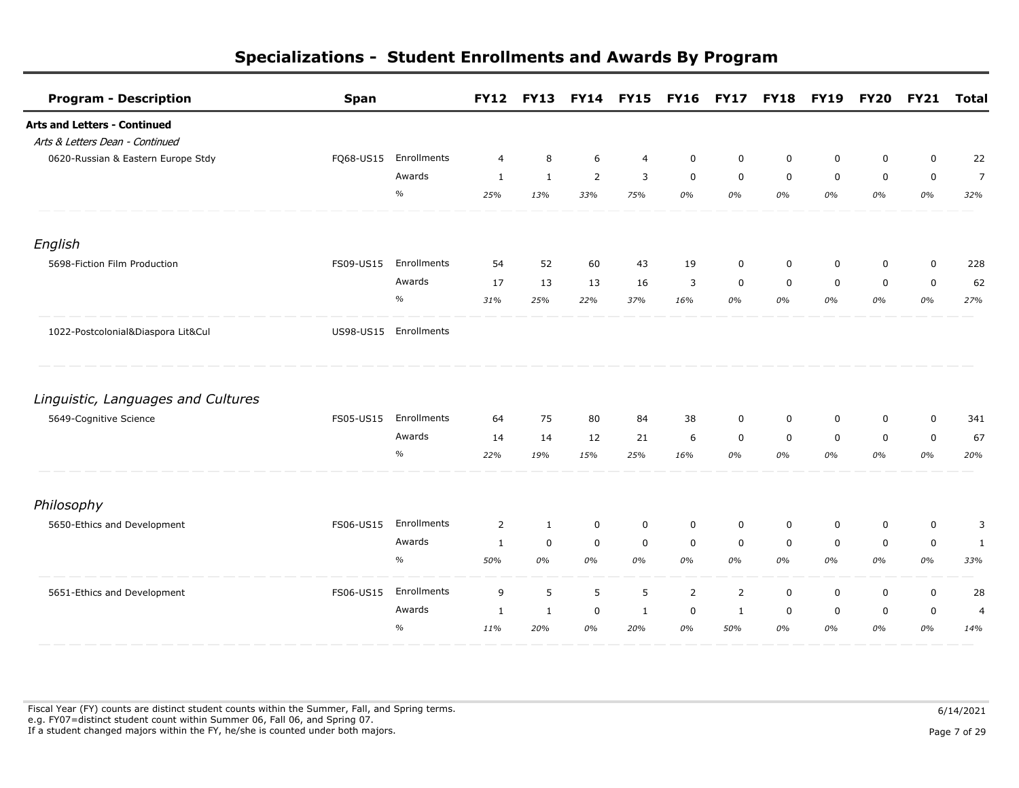| <b>Program - Description</b>        | <b>Span</b> |                       | <b>FY12</b>    | <b>FY13</b>  |                | FY14 FY15 FY16 FY17 |                |                | <b>FY18</b> | <b>FY19</b> | <b>FY20</b> | <b>FY21</b> | <b>Total</b>   |
|-------------------------------------|-------------|-----------------------|----------------|--------------|----------------|---------------------|----------------|----------------|-------------|-------------|-------------|-------------|----------------|
| <b>Arts and Letters - Continued</b> |             |                       |                |              |                |                     |                |                |             |             |             |             |                |
| Arts & Letters Dean - Continued     |             |                       |                |              |                |                     |                |                |             |             |             |             |                |
| 0620-Russian & Eastern Europe Stdy  | FQ68-US15   | Enrollments           | $\overline{4}$ | 8            | 6              | 4                   | $\mathbf 0$    | $\mathbf 0$    | 0           | 0           | $\mathbf 0$ | $\mathbf 0$ | 22             |
|                                     |             | Awards                | $\mathbf{1}$   | $\mathbf{1}$ | $\overline{2}$ | 3                   | $\mathbf 0$    | $\mathbf 0$    | $\mathbf 0$ | $\mathbf 0$ | $\mathbf 0$ | $\mathbf 0$ | $\overline{7}$ |
|                                     |             | $\%$                  | 25%            | 13%          | 33%            | 75%                 | 0%             | 0%             | 0%          | 0%          | 0%          | 0%          | 32%            |
| English                             |             |                       |                |              |                |                     |                |                |             |             |             |             |                |
| 5698-Fiction Film Production        | FS09-US15   | Enrollments           | 54             | 52           | 60             | 43                  | 19             | 0              | $\mathbf 0$ | $\mathbf 0$ | $\mathbf 0$ | $\mathbf 0$ | 228            |
|                                     |             | Awards                | 17             | 13           | 13             | 16                  | 3              | $\mathbf 0$    | $\mathbf 0$ | $\mathbf 0$ | $\mathbf 0$ | $\mathbf 0$ | 62             |
|                                     |             | $\%$                  | 31%            | 25%          | 22%            | 37%                 | 16%            | 0%             | 0%          | 0%          | 0%          | 0%          | 27%            |
| 1022-Postcolonial&Diaspora Lit&Cul  |             | US98-US15 Enrollments |                |              |                |                     |                |                |             |             |             |             |                |
| Linguistic, Languages and Cultures  |             |                       |                |              |                |                     |                |                |             |             |             |             |                |
| 5649-Cognitive Science              | FS05-US15   | Enrollments           | 64             | 75           | 80             | 84                  | 38             | $\mathbf 0$    | $\mathbf 0$ | 0           | $\mathbf 0$ | $\mathbf 0$ | 341            |
|                                     |             | Awards                | 14             | 14           | 12             | 21                  | 6              | $\mathbf 0$    | $\mathbf 0$ | $\mathbf 0$ | $\mathbf 0$ | $\mathbf 0$ | 67             |
|                                     |             | $\%$                  | 22%            | 19%          | 15%            | 25%                 | 16%            | 0%             | 0%          | 0%          | 0%          | 0%          | 20%            |
| Philosophy                          |             |                       |                |              |                |                     |                |                |             |             |             |             |                |
| 5650-Ethics and Development         | FS06-US15   | Enrollments           | $\overline{2}$ | $\mathbf{1}$ | $\mathbf 0$    | $\mathbf 0$         | $\mathbf 0$    | $\mathbf 0$    | $\mathbf 0$ | 0           | $\mathbf 0$ | 0           | 3              |
|                                     |             | Awards                | $\mathbf{1}$   | 0            | $\mathbf 0$    | $\mathbf 0$         | $\mathbf 0$    | $\mathbf 0$    | $\mathbf 0$ | $\mathbf 0$ | $\mathbf 0$ | $\mathbf 0$ | $\mathbf{1}$   |
|                                     |             | $\%$                  | 50%            | 0%           | 0%             | 0%                  | 0%             | 0%             | 0%          | 0%          | 0%          | 0%          | 33%            |
| 5651-Ethics and Development         | FS06-US15   | Enrollments           | 9              | 5            | 5              | 5                   | $\overline{2}$ | $\overline{2}$ | $\mathbf 0$ | $\mathbf 0$ | $\mathbf 0$ | $\mathbf 0$ | 28             |
|                                     |             | Awards                | 1              | 1            | $\mathbf 0$    | 1                   | $\mathbf 0$    | 1              | $\mathbf 0$ | $\mathbf 0$ | $\mathbf 0$ | $\mathbf 0$ | $\overline{4}$ |
|                                     |             | $\%$                  | 11%            | 20%          | 0%             | 20%                 | 0%             | 50%            | 0%          | 0%          | 0%          | 0%          | 14%            |

Fiscal Year (FY) counts are distinct student counts within the Summer, Fall, and Spring terms.  $6/14/2021$  e.g. FY07=distinct student count within Summer 06, Fall 06, and Spring 07. If a student changed majors within the FY, he/she is counted under both majors. Page 7 of 29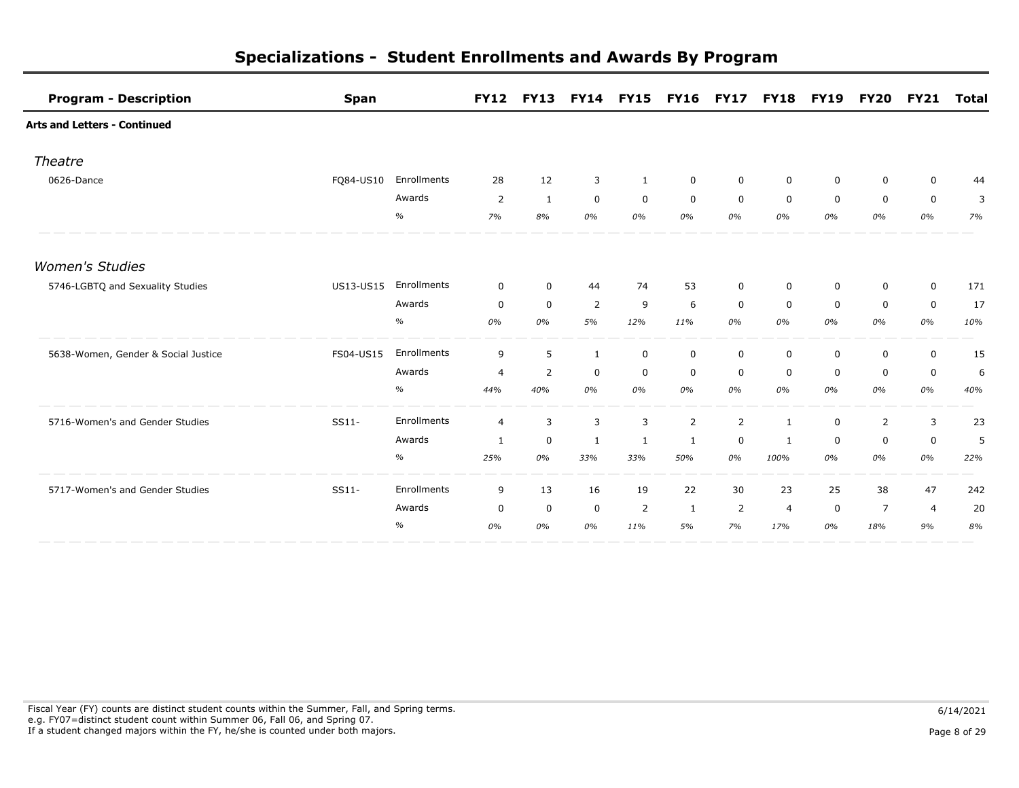| <b>Program - Description</b>        | <b>Span</b> |             | <b>FY12</b>    | <b>FY13</b>    | <b>FY14 FY15</b> |              | <b>FY16</b> | <b>FY17</b>    | <b>FY18</b>    | <b>FY19</b> | <b>FY20</b>    | <b>FY21</b>    | <b>Total</b> |
|-------------------------------------|-------------|-------------|----------------|----------------|------------------|--------------|-------------|----------------|----------------|-------------|----------------|----------------|--------------|
| <b>Arts and Letters - Continued</b> |             |             |                |                |                  |              |             |                |                |             |                |                |              |
| Theatre                             |             |             |                |                |                  |              |             |                |                |             |                |                |              |
| 0626-Dance                          | FO84-US10   | Enrollments | 28             | 12             | 3                | $\mathbf{1}$ | $\mathbf 0$ | $\mathbf 0$    | 0              | 0           | 0              | 0              | 44           |
|                                     |             | Awards      | 2              | $\mathbf{1}$   | $\mathbf 0$      | $\mathbf 0$  | $\mathbf 0$ | $\mathbf 0$    | $\mathbf 0$    | $\mathbf 0$ | $\mathbf 0$    | $\mathbf 0$    | 3            |
|                                     |             | $\%$        | 7%             | 8%             | 0%               | 0%           | 0%          | 0%             | 0%             | 0%          | 0%             | 0%             | 7%           |
| <b>Women's Studies</b>              |             |             |                |                |                  |              |             |                |                |             |                |                |              |
| 5746-LGBTQ and Sexuality Studies    | US13-US15   | Enrollments | $\mathbf 0$    | $\mathbf 0$    | 44               | 74           | 53          | $\mathbf 0$    | 0              | 0           | $\mathbf 0$    | $\mathbf 0$    | 171          |
|                                     |             | Awards      | 0              | $\mathbf 0$    | 2                | 9            | 6           | $\mathbf 0$    | $\mathbf 0$    | $\mathbf 0$ | $\mathbf 0$    | $\mathbf 0$    | 17           |
|                                     |             | $\%$        | 0%             | 0%             | 5%               | 12%          | 11%         | 0%             | 0%             | 0%          | 0%             | 0%             | 10%          |
| 5638-Women, Gender & Social Justice | FS04-US15   | Enrollments | 9              | 5              | 1                | $\mathbf 0$  | $\mathbf 0$ | $\mathbf 0$    | $\mathbf 0$    | 0           | 0              | $\mathbf 0$    | 15           |
|                                     |             | Awards      | $\overline{4}$ | $\overline{2}$ | $\mathbf 0$      | $\mathbf 0$  | $\mathbf 0$ | $\mathbf 0$    | $\mathbf 0$    | $\mathbf 0$ | $\mathbf 0$    | $\mathbf 0$    | 6            |
|                                     |             | $\%$        | 44%            | 40%            | 0%               | 0%           | 0%          | 0%             | 0%             | 0%          | 0%             | 0%             | 40%          |
| 5716-Women's and Gender Studies     | SS11-       | Enrollments | $\overline{4}$ | 3              | 3                | 3            | 2           | $\overline{2}$ | 1              | $\mathbf 0$ | 2              | $\overline{3}$ | 23           |
|                                     |             | Awards      | 1              | $\mathbf 0$    | 1                | 1            | 1           | 0              | 1              | 0           | $\mathbf 0$    | $\mathbf 0$    | 5            |
|                                     |             | $\%$        | 25%            | 0%             | 33%              | 33%          | 50%         | 0%             | 100%           | 0%          | 0%             | 0%             | 22%          |
| 5717-Women's and Gender Studies     | SS11-       | Enrollments | 9              | 13             | 16               | 19           | 22          | 30             | 23             | 25          | 38             | 47             | 242          |
|                                     |             | Awards      | 0              | 0              | $\mathbf 0$      | 2            | -1          | 2              | $\overline{4}$ | $\mathbf 0$ | $\overline{7}$ | $\overline{4}$ | 20           |
|                                     |             | $\%$        | 0%             | 0%             | 0%               | 11%          | 5%          | 7%             | 17%            | 0%          | 18%            | 9%             | 8%           |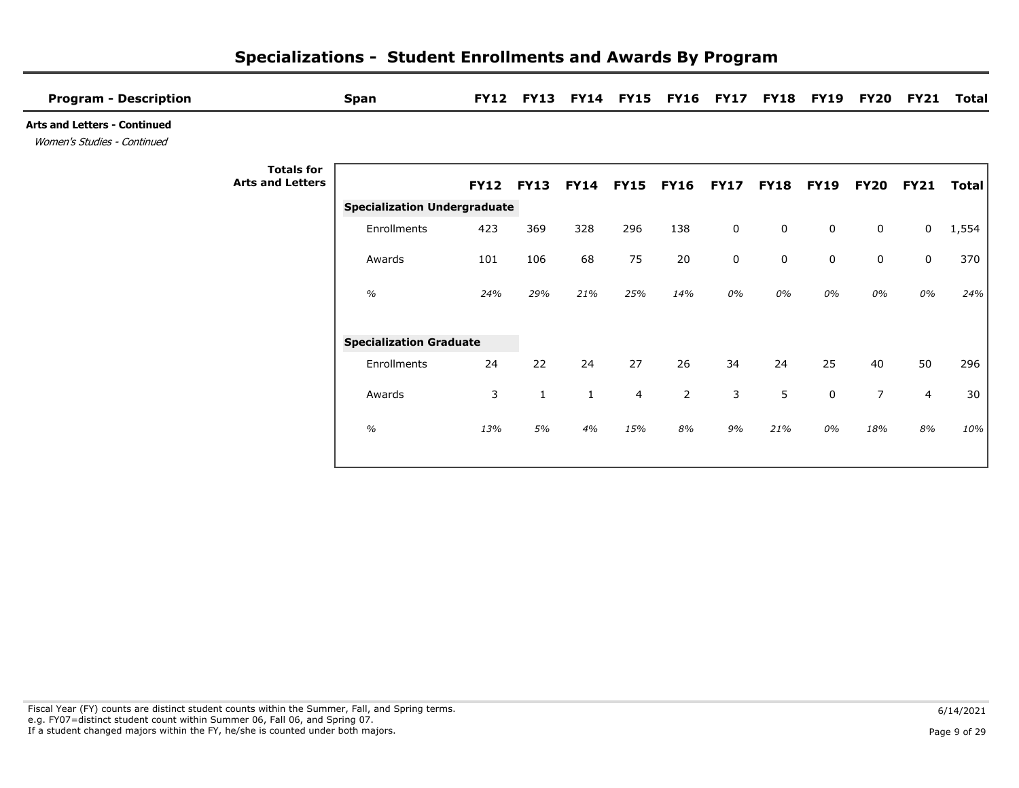| <b>Program - Description</b>                                       |                                              | <b>Span</b>                         | <b>FY12</b>      | <b>FY13</b>  |              |                | FY14 FY15 FY16 FY17 |             | <b>FY18</b> | <b>FY19</b> | <b>FY20</b>    | <b>FY21</b>    | <b>Total</b> |
|--------------------------------------------------------------------|----------------------------------------------|-------------------------------------|------------------|--------------|--------------|----------------|---------------------|-------------|-------------|-------------|----------------|----------------|--------------|
| <b>Arts and Letters - Continued</b><br>Women's Studies - Continued |                                              |                                     |                  |              |              |                |                     |             |             |             |                |                |              |
|                                                                    | <b>Totals for</b><br><b>Arts and Letters</b> |                                     | <b>FY12 FY13</b> |              | <b>FY14</b>  | <b>FY15</b>    | <b>FY16</b>         | <b>FY17</b> | <b>FY18</b> | <b>FY19</b> | <b>FY20</b>    | <b>FY21</b>    | Total        |
|                                                                    |                                              | <b>Specialization Undergraduate</b> |                  |              |              |                |                     |             |             |             |                |                |              |
|                                                                    |                                              | Enrollments                         | 423              | 369          | 328          | 296            | 138                 | $\mathbf 0$ | $\mathbf 0$ | $\mathbf 0$ | $\mathbf 0$    | 0              | 1,554        |
|                                                                    |                                              | Awards                              | 101              | 106          | 68           | 75             | 20                  | $\mathbf 0$ | $\mathbf 0$ | $\mathbf 0$ | $\mathbf 0$    | $\mathbf 0$    | 370          |
|                                                                    |                                              | $\%$                                | 24%              | 29%          | 21%          | 25%            | 14%                 | 0%          | 0%          | 0%          | 0%             | 0%             | 24%          |
|                                                                    |                                              | <b>Specialization Graduate</b>      |                  |              |              |                |                     |             |             |             |                |                |              |
|                                                                    |                                              | Enrollments                         | 24               | 22           | 24           | 27             | 26                  | 34          | 24          | 25          | 40             | 50             | 296          |
|                                                                    |                                              | Awards                              | 3                | $\mathbf{1}$ | $\mathbf{1}$ | $\overline{4}$ | 2                   | 3           | 5           | 0           | $\overline{7}$ | $\overline{4}$ | 30           |
|                                                                    |                                              | $\frac{1}{2}$                       | 13%              | 5%           | 4%           | 15%            | 8%                  | 9%          | 21%         | 0%          | 18%            | 8%             | 10%          |
|                                                                    |                                              |                                     |                  |              |              |                |                     |             |             |             |                |                |              |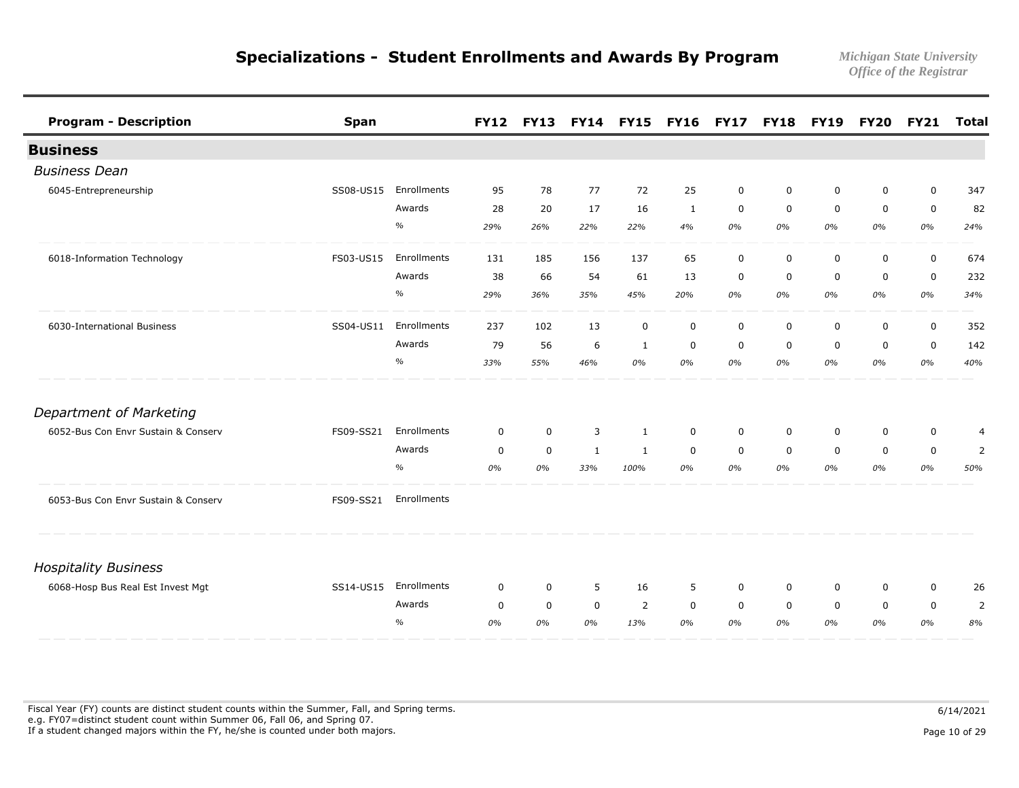| <b>Program - Description</b>        | <b>Span</b> |             | <b>FY12</b> | <b>FY13</b> | <b>FY14</b>  | <b>FY15</b>  | <b>FY16</b>  | <b>FY17</b> | <b>FY18</b> | <b>FY19</b> | <b>FY20</b> | <b>FY21</b> | <b>Total</b>   |
|-------------------------------------|-------------|-------------|-------------|-------------|--------------|--------------|--------------|-------------|-------------|-------------|-------------|-------------|----------------|
| <b>Business</b>                     |             |             |             |             |              |              |              |             |             |             |             |             |                |
| <b>Business Dean</b>                |             |             |             |             |              |              |              |             |             |             |             |             |                |
| 6045-Entrepreneurship               | SS08-US15   | Enrollments | 95          | 78          | 77           | 72           | 25           | $\mathbf 0$ | 0           | 0           | $\mathbf 0$ | $\mathbf 0$ | 347            |
|                                     |             | Awards      | 28          | 20          | 17           | 16           | $\mathbf{1}$ | $\mathbf 0$ | $\mathbf 0$ | $\mathbf 0$ | $\mathbf 0$ | $\mathsf 0$ | 82             |
|                                     |             | $\%$        | 29%         | 26%         | 22%          | 22%          | 4%           | 0%          | 0%          | 0%          | 0%          | 0%          | 24%            |
| 6018-Information Technology         | FS03-US15   | Enrollments | 131         | 185         | 156          | 137          | 65           | $\mathbf 0$ | $\mathbf 0$ | $\mathbf 0$ | $\mathbf 0$ | $\mathbf 0$ | 674            |
|                                     |             | Awards      | 38          | 66          | 54           | 61           | 13           | $\mathbf 0$ | $\mathbf 0$ | $\mathbf 0$ | $\mathbf 0$ | 0           | 232            |
|                                     |             | $\%$        | 29%         | 36%         | 35%          | 45%          | 20%          | 0%          | 0%          | 0%          | 0%          | 0%          | 34%            |
| 6030-International Business         | SS04-US11   | Enrollments | 237         | 102         | 13           | $\mathbf 0$  | $\mathbf 0$  | $\mathbf 0$ | $\mathbf 0$ | $\mathbf 0$ | $\mathbf 0$ | $\mathbf 0$ | 352            |
|                                     |             | Awards      | 79          | 56          | 6            | 1            | 0            | $\mathbf 0$ | 0           | 0           | $\mathbf 0$ | $\mathbf 0$ | 142            |
|                                     |             | $\%$        | 33%         | 55%         | 46%          | 0%           | 0%           | 0%          | 0%          | 0%          | 0%          | 0%          | 40%            |
| <b>Department of Marketing</b>      |             |             |             |             |              |              |              |             |             |             |             |             |                |
| 6052-Bus Con Envr Sustain & Conserv | FS09-SS21   | Enrollments | $\mathbf 0$ | $\mathbf 0$ | 3            | 1            | $\mathbf 0$  | $\mathbf 0$ | 0           | 0           | $\mathbf 0$ | 0           | $\overline{4}$ |
|                                     |             | Awards      | $\mathbf 0$ | $\mathbf 0$ | $\mathbf{1}$ | $\mathbf{1}$ | $\mathbf 0$  | $\mathbf 0$ | $\mathbf 0$ | $\mathbf 0$ | $\mathbf 0$ | $\mathbf 0$ | 2              |
|                                     |             | $\%$        | 0%          | 0%          | 33%          | 100%         | 0%           | 0%          | 0%          | 0%          | 0%          | 0%          | 50%            |
| 6053-Bus Con Envr Sustain & Conserv | FS09-SS21   | Enrollments |             |             |              |              |              |             |             |             |             |             |                |
| <b>Hospitality Business</b>         |             |             |             |             |              |              |              |             |             |             |             |             |                |
| 6068-Hosp Bus Real Est Invest Mgt   | SS14-US15   | Enrollments | $\mathbf 0$ | $\mathbf 0$ | 5            | 16           | 5            | $\mathbf 0$ | 0           | 0           | $\mathbf 0$ | $\mathbf 0$ | 26             |
|                                     |             | Awards      | $\mathbf 0$ | $\mathbf 0$ | $\mathbf 0$  | 2            | $\mathbf 0$  | $\mathbf 0$ | $\mathbf 0$ | $\mathbf 0$ | $\mathbf 0$ | $\mathbf 0$ | 2              |
|                                     |             | $\%$        | 0%          | 0%          | 0%           | 13%          | 0%           | 0%          | 0%          | 0%          | 0%          | 0%          | 8%             |

Fiscal Year (FY) counts are distinct student counts within the Summer, Fall, and Spring terms.  $6/14/2021$  e.g. FY07=distinct student count within Summer 06, Fall 06, and Spring 07. If a student changed majors within the FY, he/she is counted under both majors. Page 10 of 29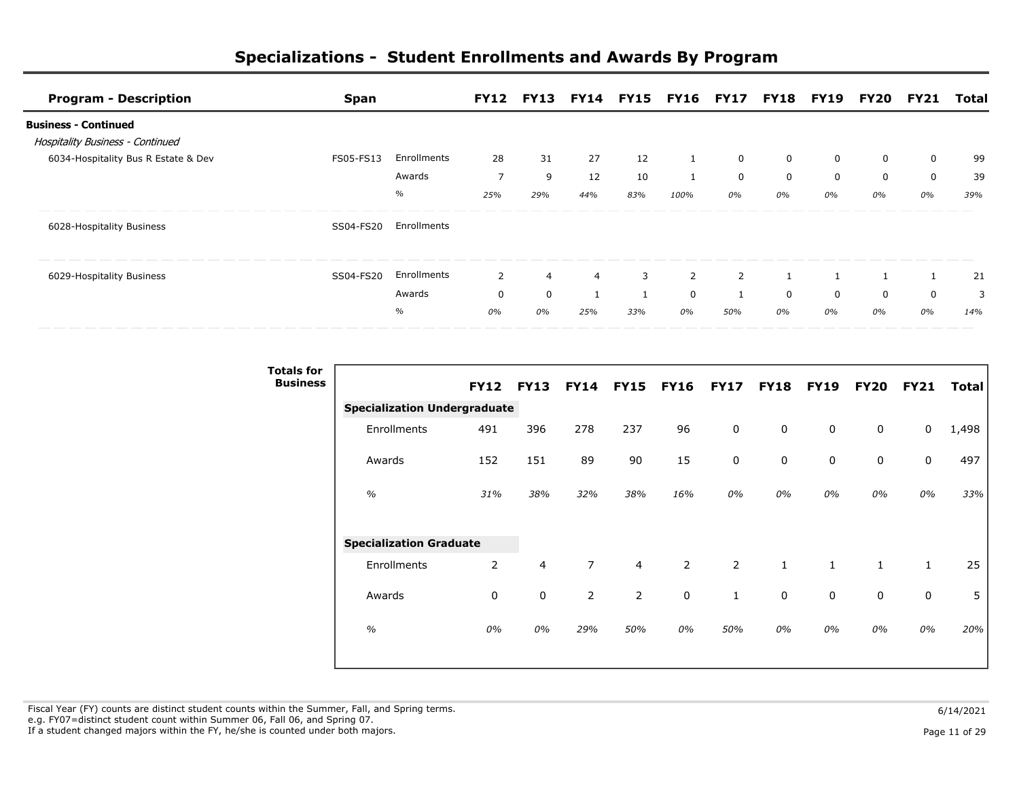| <b>Program - Description</b>            | <b>Span</b> |             |     |     |                |     | FY12 FY13 FY14 FY15 FY16 FY17 FY18 FY19 FY20 FY21 |                |    |    |    |    | Total |
|-----------------------------------------|-------------|-------------|-----|-----|----------------|-----|---------------------------------------------------|----------------|----|----|----|----|-------|
| <b>Business - Continued</b>             |             |             |     |     |                |     |                                                   |                |    |    |    |    |       |
| <b>Hospitality Business - Continued</b> |             |             |     |     |                |     |                                                   |                |    |    |    |    |       |
| 6034-Hospitality Bus R Estate & Dev     | FS05-FS13   | Enrollments | 28  | 31  | 27             | 12  |                                                   | $\mathbf 0$    | 0  | 0  | 0  | 0  | 99    |
|                                         |             | Awards      | 7   | 9   | 12             | 10  |                                                   | 0              | 0  | 0  | 0  | 0  | 39    |
|                                         |             | $\%$        | 25% | 29% | 44%            | 83% | 100%                                              | 0%             | 0% | 0% | 0% | 0% | 39%   |
| 6028-Hospitality Business               | SS04-FS20   | Enrollments |     |     |                |     |                                                   |                |    |    |    |    |       |
| 6029-Hospitality Business               | SS04-FS20   | Enrollments | 2   | 4   | $\overline{4}$ | 3   | 2                                                 | $\overline{2}$ |    |    |    |    | 21    |
|                                         |             | Awards      | 0   | 0   |                |     | $\mathbf 0$                                       |                | 0  | 0  | 0  | 0  | 3     |
|                                         |             | $\%$        | 0%  | 0%  | 25%            | 33% | 0%                                                | 50%            | 0% | 0% | 0% | 0% | 14%   |

| <b>Totals for</b><br><b>Business</b> |                                     |                  |     |                |                |                |                |              |              |              |              |       |
|--------------------------------------|-------------------------------------|------------------|-----|----------------|----------------|----------------|----------------|--------------|--------------|--------------|--------------|-------|
|                                      |                                     | <b>FY12 FY13</b> |     | <b>FY14</b>    | <b>FY15</b>    | <b>FY16</b>    | <b>FY17</b>    | <b>FY18</b>  | <b>FY19</b>  | <b>FY20</b>  | <b>FY21</b>  | Total |
|                                      | <b>Specialization Undergraduate</b> |                  |     |                |                |                |                |              |              |              |              |       |
|                                      | Enrollments                         | 491              | 396 | 278            | 237            | 96             | $\mathbf 0$    | 0            | 0            | $\mathbf 0$  | 0            | 1,498 |
|                                      | Awards                              | 152              | 151 | 89             | 90             | 15             | $\mathbf 0$    | 0            | 0            | $\mathbf 0$  | $\mathsf 0$  | 497   |
|                                      | $\frac{1}{2}$                       | 31%              | 38% | 32%            | 38%            | 16%            | 0%             | 0%           | 0%           | 0%           | 0%           | 33%   |
|                                      | <b>Specialization Graduate</b>      |                  |     |                |                |                |                |              |              |              |              |       |
|                                      | Enrollments                         | $\overline{2}$   | 4   | $\overline{7}$ | 4              | $\overline{2}$ | $\overline{2}$ | $\mathbf{1}$ | $\mathbf{1}$ | $\mathbf{1}$ | $\mathbf{1}$ | 25    |
|                                      | Awards                              | 0                | 0   | $\overline{2}$ | $\overline{2}$ | $\mathbf 0$    | $\mathbf{1}$   | 0            | $\mathbf 0$  | $\mathbf 0$  | 0            | 5     |
|                                      | $\frac{1}{2}$                       | 0%               | 0%  | 29%            | 50%            | 0%             | 50%            | 0%           | 0%           | 0%           | 0%           | 20%   |
|                                      |                                     |                  |     |                |                |                |                |              |              |              |              |       |

Fiscal Year (FY) counts are distinct student counts within the Summer, Fall, and Spring terms.  $6/14/2021$  e.g. FY07=distinct student count within Summer 06, Fall 06, and Spring 07. If a student changed majors within the FY, he/she is counted under both majors. Page 11 of 29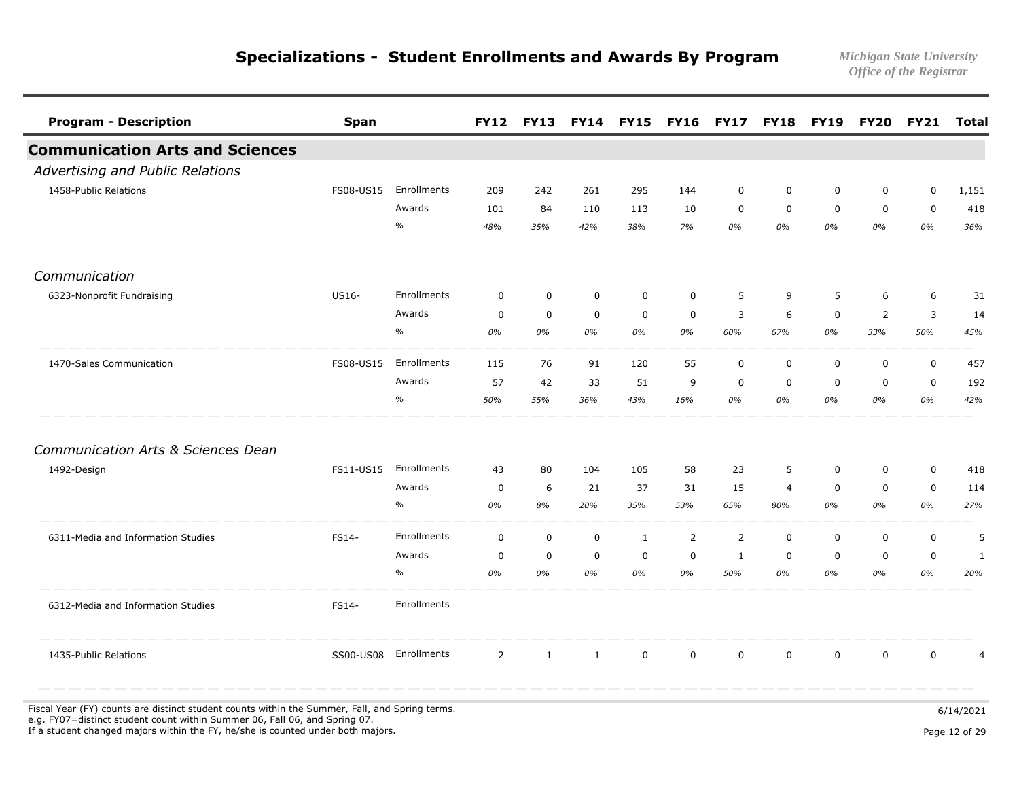| <b>Program - Description</b>           | <b>Span</b> |               |                | <b>FY12 FY13</b> |             | <b>FY14 FY15 FY16</b> |                | <b>FY17</b>    | <b>FY18</b>    | <b>FY19</b> | <b>FY20</b>    | <b>FY21</b> | <b>Total</b>   |
|----------------------------------------|-------------|---------------|----------------|------------------|-------------|-----------------------|----------------|----------------|----------------|-------------|----------------|-------------|----------------|
| <b>Communication Arts and Sciences</b> |             |               |                |                  |             |                       |                |                |                |             |                |             |                |
| Advertising and Public Relations       |             |               |                |                  |             |                       |                |                |                |             |                |             |                |
| 1458-Public Relations                  | FS08-US15   | Enrollments   | 209            | 242              | 261         | 295                   | 144            | $\mathbf 0$    | $\mathbf 0$    | 0           | $\mathbf 0$    | $\mathbf 0$ | 1,151          |
|                                        |             | Awards        | 101            | 84               | 110         | 113                   | 10             | $\Omega$       | $\Omega$       | $\Omega$    | $\mathbf 0$    | $\mathbf 0$ | 418            |
|                                        |             | $\frac{o}{o}$ | 48%            | 35%              | 42%         | 38%                   | 7%             | 0%             | 0%             | 0%          | 0%             | 0%          | 36%            |
| Communication                          |             |               |                |                  |             |                       |                |                |                |             |                |             |                |
| 6323-Nonprofit Fundraising             | US16-       | Enrollments   | $\mathbf 0$    | $\mathbf 0$      | $\mathbf 0$ | $\mathbf 0$           | $\mathbf 0$    | 5              | 9              | 5           | 6              | 6           | 31             |
|                                        |             | Awards        | $\mathbf 0$    | $\mathbf 0$      | $\mathbf 0$ | $\mathbf 0$           | $\mathbf 0$    | 3              | 6              | $\mathbf 0$ | $\overline{2}$ | 3           | 14             |
|                                        |             | $\frac{o}{o}$ | 0%             | 0%               | 0%          | 0%                    | 0%             | 60%            | 67%            | 0%          | 33%            | 50%         | 45%            |
| 1470-Sales Communication               | FS08-US15   | Enrollments   | 115            | 76               | 91          | 120                   | 55             | $\mathbf 0$    | $\mathbf 0$    | $\mathbf 0$ | $\mathbf 0$    | $\mathsf 0$ | 457            |
|                                        |             | Awards        | 57             | 42               | 33          | 51                    | 9              | $\mathbf 0$    | $\mathbf 0$    | $\mathbf 0$ | $\mathbf 0$    | $\mathbf 0$ | 192            |
|                                        |             | $\%$          | 50%            | 55%              | 36%         | 43%                   | 16%            | 0%             | 0%             | 0%          | 0%             | 0%          | 42%            |
| Communication Arts & Sciences Dean     |             |               |                |                  |             |                       |                |                |                |             |                |             |                |
| 1492-Design                            | FS11-US15   | Enrollments   | 43             | 80               | 104         | 105                   | 58             | 23             | 5              | $\mathbf 0$ | $\mathbf 0$    | $\mathbf 0$ | 418            |
|                                        |             | Awards        | $\mathbf 0$    | 6                | 21          | 37                    | 31             | 15             | $\overline{4}$ | $\mathbf 0$ | $\mathbf 0$    | $\mathbf 0$ | 114            |
|                                        |             | $\%$          | 0%             | 8%               | 20%         | 35%                   | 53%            | 65%            | 80%            | 0%          | 0%             | 0%          | 27%            |
| 6311-Media and Information Studies     | FS14-       | Enrollments   | $\mathbf 0$    | $\mathbf 0$      | $\mathbf 0$ | $\mathbf{1}$          | $\overline{2}$ | $\overline{2}$ | $\mathbf 0$    | $\mathbf 0$ | $\mathbf 0$    | $\mathsf 0$ | 5              |
|                                        |             | Awards        | $\mathbf 0$    | $\mathbf 0$      | $\mathbf 0$ | $\mathbf 0$           | $\mathbf 0$    | $\mathbf{1}$   | $\mathbf 0$    | $\mathbf 0$ | $\mathbf 0$    | $\mathbf 0$ | 1              |
|                                        |             | $\frac{o}{o}$ | 0%             | 0%               | 0%          | 0%                    | 0%             | 50%            | 0%             | 0%          | 0%             | 0%          | 20%            |
| 6312-Media and Information Studies     | FS14-       | Enrollments   |                |                  |             |                       |                |                |                |             |                |             |                |
| 1435-Public Relations                  | SS00-US08   | Enrollments   | $\overline{2}$ | $\mathbf{1}$     | 1           | $\mathbf 0$           | $\mathbf 0$    | $\mathbf 0$    | $\mathbf 0$    | $\Omega$    | $\mathbf{0}$   | 0           | $\overline{4}$ |

Fiscal Year (FY) counts are distinct student counts within the Summer, Fall, and Spring terms.  $6/14/2021$  e.g. FY07=distinct student count within Summer 06, Fall 06, and Spring 07. If a student changed majors within the FY, he/she is counted under both majors. Page 12 of 29 page 12 of 29 page 12 of 29 page 12 of 29 page 12 of 29 page 12 of 29 page 12 of 29 page 12 of 29 page 12 of 29 page 12 of 29 pa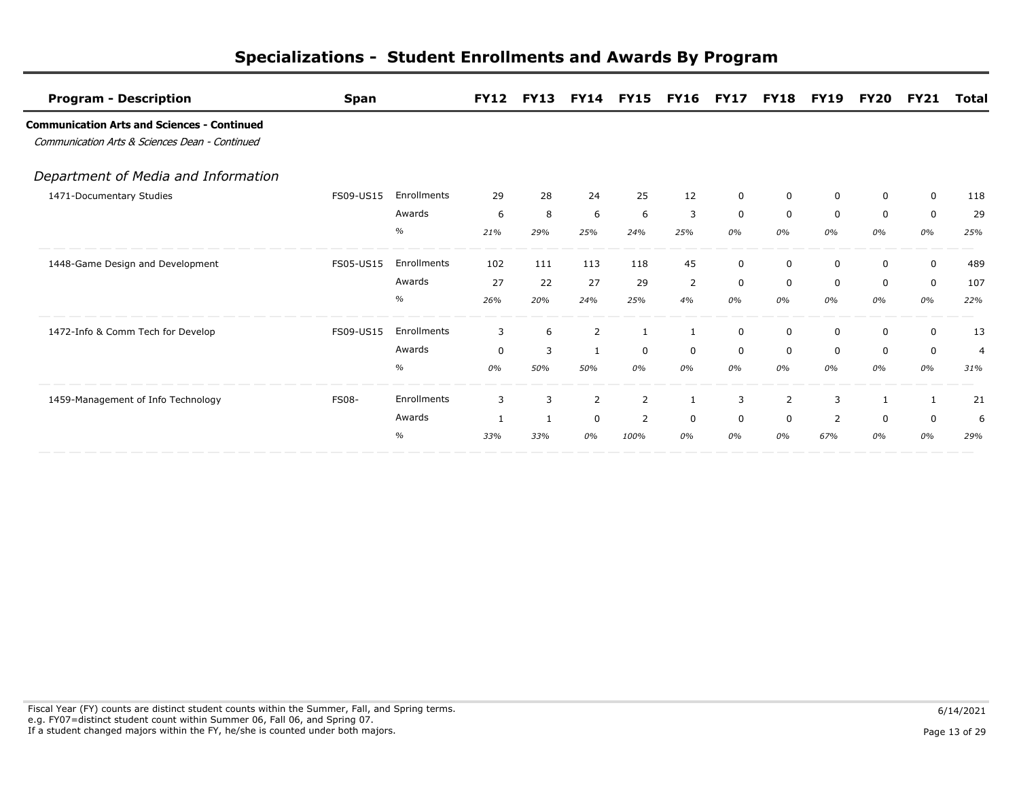| <b>Program - Description</b>                                                                         | <b>Span</b>  |             | <b>FY12</b>  | <b>FY13</b>  |              | <b>FY14 FY15</b> | <b>FY16</b>    | <b>FY17</b> | <b>FY18</b>    | <b>FY19</b>  | <b>FY20</b>  | <b>FY21</b> | Total          |
|------------------------------------------------------------------------------------------------------|--------------|-------------|--------------|--------------|--------------|------------------|----------------|-------------|----------------|--------------|--------------|-------------|----------------|
| <b>Communication Arts and Sciences - Continued</b><br>Communication Arts & Sciences Dean - Continued |              |             |              |              |              |                  |                |             |                |              |              |             |                |
| Department of Media and Information                                                                  |              |             |              |              |              |                  |                |             |                |              |              |             |                |
| 1471-Documentary Studies                                                                             | FS09-US15    | Enrollments | 29           | 28           | 24           | 25               | 12             | $\mathbf 0$ | $\mathbf 0$    | $\Omega$     | $\mathbf{0}$ | $\Omega$    | 118            |
|                                                                                                      |              | Awards      | 6            | 8            | 6            | 6                | $\overline{3}$ | $\mathbf 0$ | $\mathbf 0$    | $\mathbf 0$  | $\mathbf 0$  | $\mathbf 0$ | 29             |
|                                                                                                      |              | $\%$        | 21%          | 29%          | 25%          | 24%              | 25%            | 0%          | 0%             | 0%           | 0%           | 0%          | 25%            |
| 1448-Game Design and Development                                                                     | FS05-US15    | Enrollments | 102          | 111          | 113          | 118              | 45             | 0           | 0              | 0            | $\Omega$     | 0           | 489            |
|                                                                                                      |              | Awards      | 27           | 22           | 27           | 29               | 2              | $\mathbf 0$ | $\Omega$       | $\mathbf{0}$ | $\Omega$     | $\mathbf 0$ | 107            |
|                                                                                                      |              | $\%$        | 26%          | 20%          | 24%          | 25%              | 4%             | 0%          | 0%             | 0%           | 0%           | 0%          | 22%            |
| 1472-Info & Comm Tech for Develop                                                                    | FS09-US15    | Enrollments | 3            | 6            | 2            | 1                |                | $\mathbf 0$ | 0              | 0            | 0            | $\mathbf 0$ | 13             |
|                                                                                                      |              | Awards      | $\Omega$     | 3            | $\mathbf{1}$ | $\Omega$         | $\Omega$       | $\Omega$    | $\Omega$       | $\mathbf{0}$ | $\Omega$     | $\mathbf 0$ | $\overline{4}$ |
|                                                                                                      |              | %           | 0%           | 50%          | 50%          | 0%               | 0%             | 0%          | 0%             | 0%           | 0%           | 0%          | 31%            |
| 1459-Management of Info Technology                                                                   | <b>FS08-</b> | Enrollments | 3            | 3            | 2            | 2                |                | 3           | $\overline{2}$ | 3            |              |             | 21             |
|                                                                                                      |              | Awards      | $\mathbf{1}$ | $\mathbf{1}$ | $\mathbf 0$  | $\overline{2}$   | $\Omega$       | 0           | 0              | 2            | 0            | 0           | 6              |
|                                                                                                      |              | $\%$        | 33%          | 33%          | 0%           | 100%             | 0%             | 0%          | 0%             | 67%          | 0%           | 0%          | 29%            |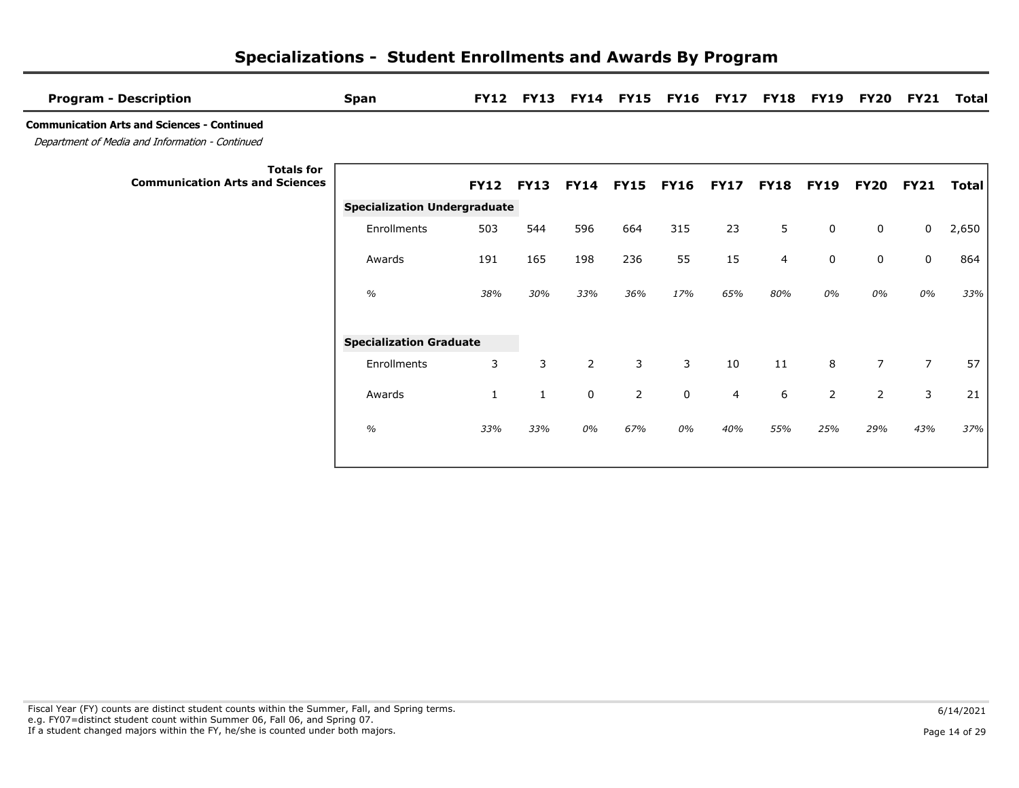| <b>Program - Description</b>                                                                          | <b>Span</b>                         | <b>FY12</b> | <b>FY13</b> |                |             | FY14 FY15 FY16 FY17 |             |                | <b>FY18 FY19</b> | <b>FY20</b>    | <b>FY21</b>    | Total        |
|-------------------------------------------------------------------------------------------------------|-------------------------------------|-------------|-------------|----------------|-------------|---------------------|-------------|----------------|------------------|----------------|----------------|--------------|
| <b>Communication Arts and Sciences - Continued</b><br>Department of Media and Information - Continued |                                     |             |             |                |             |                     |             |                |                  |                |                |              |
| <b>Totals for</b><br><b>Communication Arts and Sciences</b>                                           |                                     | <b>FY12</b> | <b>FY13</b> | <b>FY14</b>    | <b>FY15</b> | <b>FY16</b>         | <b>FY17</b> | <b>FY18</b>    | <b>FY19</b>      | FY20           | <b>FY21</b>    | <b>Total</b> |
|                                                                                                       | <b>Specialization Undergraduate</b> |             |             |                |             |                     |             |                |                  |                |                |              |
|                                                                                                       | Enrollments                         | 503         | 544         | 596            | 664         | 315                 | 23          | 5              | 0                | 0              | $\mathbf 0$    | 2,650        |
|                                                                                                       | Awards                              | 191         | 165         | 198            | 236         | 55                  | 15          | $\overline{4}$ | 0                | $\mathsf{O}$   | 0              | 864          |
|                                                                                                       | $\frac{1}{2}$                       | 38%         | 30%         | 33%            | 36%         | 17%                 | 65%         | 80%            | 0%               | 0%             | 0%             | 33%          |
|                                                                                                       | <b>Specialization Graduate</b>      |             |             |                |             |                     |             |                |                  |                |                |              |
|                                                                                                       | Enrollments                         | 3           | 3           | $\overline{2}$ | 3           | 3                   | 10          | 11             | 8                | $\overline{7}$ | $\overline{7}$ | 57           |
|                                                                                                       | Awards                              | 1           | 1           | 0              | 2           | 0                   | 4           | 6              | 2                | $\overline{2}$ | 3              | 21           |
|                                                                                                       | $\%$                                | 33%         | 33%         | 0%             | 67%         | 0%                  | 40%         | 55%            | 25%              | 29%            | 43%            | 37%          |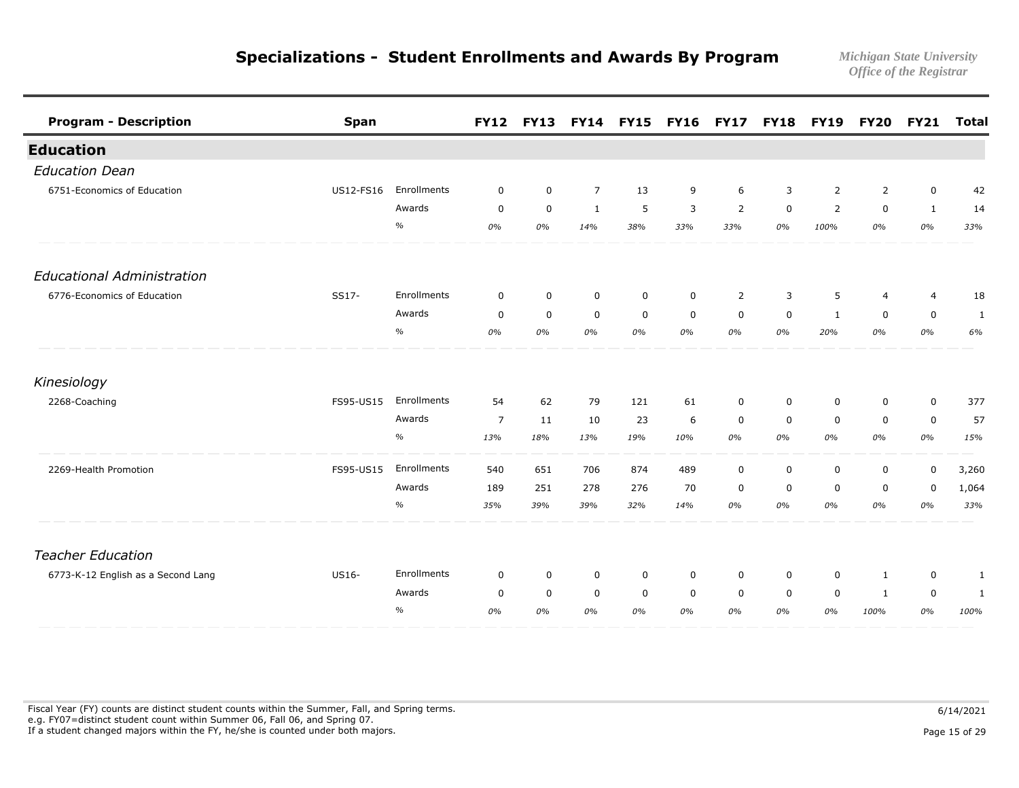| <b>Program - Description</b>       | <b>Span</b> |               | <b>FY12</b>    | <b>FY13</b> |                | <b>FY14 FY15 FY16</b> |             | <b>FY17</b>    |             | <b>FY18 FY19</b> | <b>FY20</b>    | <b>FY21</b>  | <b>Total</b> |
|------------------------------------|-------------|---------------|----------------|-------------|----------------|-----------------------|-------------|----------------|-------------|------------------|----------------|--------------|--------------|
| <b>Education</b>                   |             |               |                |             |                |                       |             |                |             |                  |                |              |              |
| <b>Education Dean</b>              |             |               |                |             |                |                       |             |                |             |                  |                |              |              |
| 6751-Economics of Education        | US12-FS16   | Enrollments   | $\mathbf 0$    | $\mathbf 0$ | $\overline{7}$ | 13                    | 9           | 6              | 3           | 2                | 2              | $\mathsf 0$  | 42           |
|                                    |             | Awards        | $\mathbf 0$    | $\mathbf 0$ | $\mathbf{1}$   | 5                     | 3           | $\overline{2}$ | $\mathbf 0$ | $\overline{2}$   | $\mathbf 0$    | $\mathbf{1}$ | 14           |
|                                    |             | $\frac{1}{2}$ | 0%             | 0%          | 14%            | 38%                   | 33%         | 33%            | 0%          | 100%             | 0%             | 0%           | 33%          |
| <b>Educational Administration</b>  |             |               |                |             |                |                       |             |                |             |                  |                |              |              |
| 6776-Economics of Education        | SS17-       | Enrollments   | $\mathbf 0$    | $\mathbf 0$ | $\mathbf 0$    | $\mathbf 0$           | $\mathbf 0$ | $\overline{2}$ | 3           | 5                | $\overline{4}$ | 4            | 18           |
|                                    |             | Awards        | $\mathbf 0$    | $\mathbf 0$ | $\mathbf 0$    | $\mathbf 0$           | $\mathbf 0$ | $\mathbf 0$    | $\mathbf 0$ | $\mathbf{1}$     | $\mathbf 0$    | 0            | 1            |
|                                    |             | $\%$          | 0%             | 0%          | 0%             | 0%                    | 0%          | 0%             | 0%          | 20%              | 0%             | 0%           | 6%           |
| Kinesiology                        |             |               |                |             |                |                       |             |                |             |                  |                |              |              |
| 2268-Coaching                      | FS95-US15   | Enrollments   | 54             | 62          | 79             | 121                   | 61          | $\mathbf 0$    | 0           | 0                | 0              | $\mathbf 0$  | 377          |
|                                    |             | Awards        | $\overline{7}$ | 11          | 10             | 23                    | 6           | 0              | $\mathbf 0$ | 0                | 0              | 0            | 57           |
|                                    |             | $\frac{o}{o}$ | 13%            | 18%         | 13%            | 19%                   | 10%         | 0%             | 0%          | 0%               | 0%             | 0%           | 15%          |
| 2269-Health Promotion              | FS95-US15   | Enrollments   | 540            | 651         | 706            | 874                   | 489         | $\mathbf 0$    | $\mathbf 0$ | $\mathbf 0$      | $\mathbf 0$    | 0            | 3,260        |
|                                    |             | Awards        | 189            | 251         | 278            | 276                   | 70          | 0              | 0           | $\Omega$         | 0              | 0            | 1,064        |
|                                    |             | $\%$          | 35%            | 39%         | 39%            | 32%                   | 14%         | 0%             | 0%          | 0%               | 0%             | 0%           | 33%          |
| <b>Teacher Education</b>           |             |               |                |             |                |                       |             |                |             |                  |                |              |              |
| 6773-K-12 English as a Second Lang | US16-       | Enrollments   | $\mathbf 0$    | $\mathbf 0$ | $\mathbf 0$    | $\mathbf 0$           | $\mathbf 0$ | $\mathbf 0$    | $\mathbf 0$ | $\mathbf 0$      | 1              | $\mathbf 0$  | $\mathbf{1}$ |
|                                    |             | Awards        | $\mathbf 0$    | $\mathbf 0$ | $\mathbf 0$    | $\mathbf 0$           | $\mathbf 0$ | $\mathbf 0$    | $\mathbf 0$ | $\mathbf 0$      | $\mathbf{1}$   | $\mathsf 0$  | 1            |
|                                    |             | $\%$          | 0%             | 0%          | 0%             | 0%                    | 0%          | 0%             | 0%          | 0%               | 100%           | 0%           | 100%         |

Fiscal Year (FY) counts are distinct student counts within the Summer, Fall, and Spring terms.  $6/14/2021$  e.g. FY07=distinct student count within Summer 06, Fall 06, and Spring 07. If a student changed majors within the FY, he/she is counted under both majors. Page 15 of 29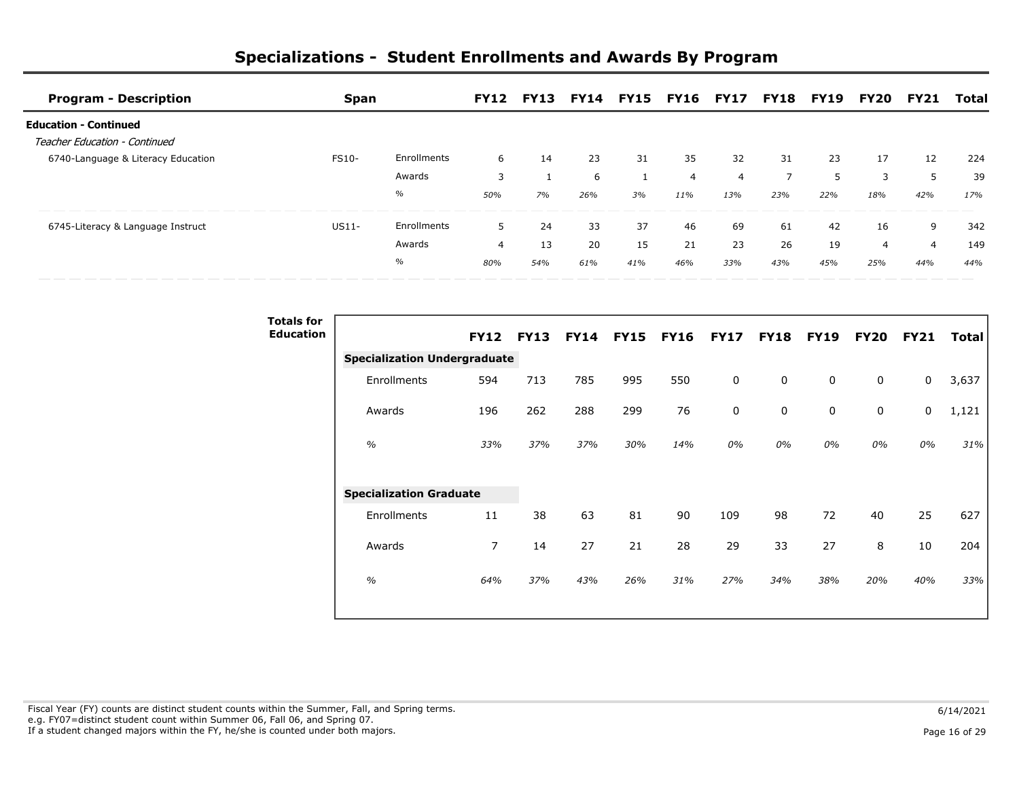| <b>Program - Description</b>       | Span         |             | <b>FY12</b> | <b>FY13</b> | <b>FY14</b> |     | <b>FY15 FY16 FY17</b> |     |     | <b>FY18 FY19</b> | FY20 | <b>FY21</b>    | Total |
|------------------------------------|--------------|-------------|-------------|-------------|-------------|-----|-----------------------|-----|-----|------------------|------|----------------|-------|
| <b>Education - Continued</b>       |              |             |             |             |             |     |                       |     |     |                  |      |                |       |
| Teacher Education - Continued      |              |             |             |             |             |     |                       |     |     |                  |      |                |       |
| 6740-Language & Literacy Education | <b>FS10-</b> | Enrollments | 6           | 14          | 23          | 31  | 35                    | 32  | 31  | 23               | 17   | 12             | 224   |
|                                    |              | Awards      |             |             | 6           |     | $\overline{a}$        | 4   |     | 5                | 3    |                | 39    |
|                                    |              | $\%$        | 50%         | 7%          | 26%         | 3%  | 11%                   | 13% | 23% | 22%              | 18%  | 42%            | 17%   |
| 6745-Literacy & Language Instruct  | $US11-$      | Enrollments |             | 24          | 33          | 37  | 46                    | 69  | 61  | 42               | 16   | 9              | 342   |
|                                    |              | Awards      | 4           | 13          | 20          | 15  | 21                    | 23  | 26  | 19               | 4    | $\overline{4}$ | 149   |
|                                    |              | $\%$        | 80%         | 54%         | 61%         | 41% | 46%                   | 33% | 43% | 45%              | 25%  | 44%            | 44%   |

| <b>Totals for</b> |                                     |                |             |             |             |             |             |             |             |             |             |       |
|-------------------|-------------------------------------|----------------|-------------|-------------|-------------|-------------|-------------|-------------|-------------|-------------|-------------|-------|
| <b>Education</b>  |                                     | <b>FY12</b>    | <b>FY13</b> | <b>FY14</b> | <b>FY15</b> | <b>FY16</b> | <b>FY17</b> | <b>FY18</b> | <b>FY19</b> | <b>FY20</b> | <b>FY21</b> | Total |
|                   | <b>Specialization Undergraduate</b> |                |             |             |             |             |             |             |             |             |             |       |
|                   | Enrollments                         | 594            | 713         | 785         | 995         | 550         | $\mathbf 0$ | $\mathbf 0$ | 0           | 0           | $\mathbf 0$ | 3,637 |
|                   | Awards                              | 196            | 262         | 288         | 299         | 76          | $\pmb{0}$   | $\pmb{0}$   | $\pmb{0}$   | 0           | 0           | 1,121 |
|                   | $\frac{1}{2}$                       | 33%            | 37%         | 37%         | 30%         | 14%         | 0%          | 0%          | 0%          | 0%          | 0%          | 31%   |
|                   | <b>Specialization Graduate</b>      |                |             |             |             |             |             |             |             |             |             |       |
|                   | Enrollments                         | 11             | 38          | 63          | 81          | 90          | 109         | 98          | 72          | 40          | 25          | 627   |
|                   | Awards                              | $\overline{7}$ | 14          | 27          | 21          | 28          | 29          | 33          | 27          | 8           | 10          | 204   |
|                   | $\frac{1}{2}$                       | 64%            | 37%         | 43%         | 26%         | 31%         | 27%         | 34%         | 38%         | 20%         | 40%         | 33%   |
|                   |                                     |                |             |             |             |             |             |             |             |             |             |       |

Fiscal Year (FY) counts are distinct student counts within the Summer, Fall, and Spring terms.  $6/14/2021$  e.g. FY07=distinct student count within Summer 06, Fall 06, and Spring 07. If a student changed majors within the FY, he/she is counted under both majors. Page 16 of 29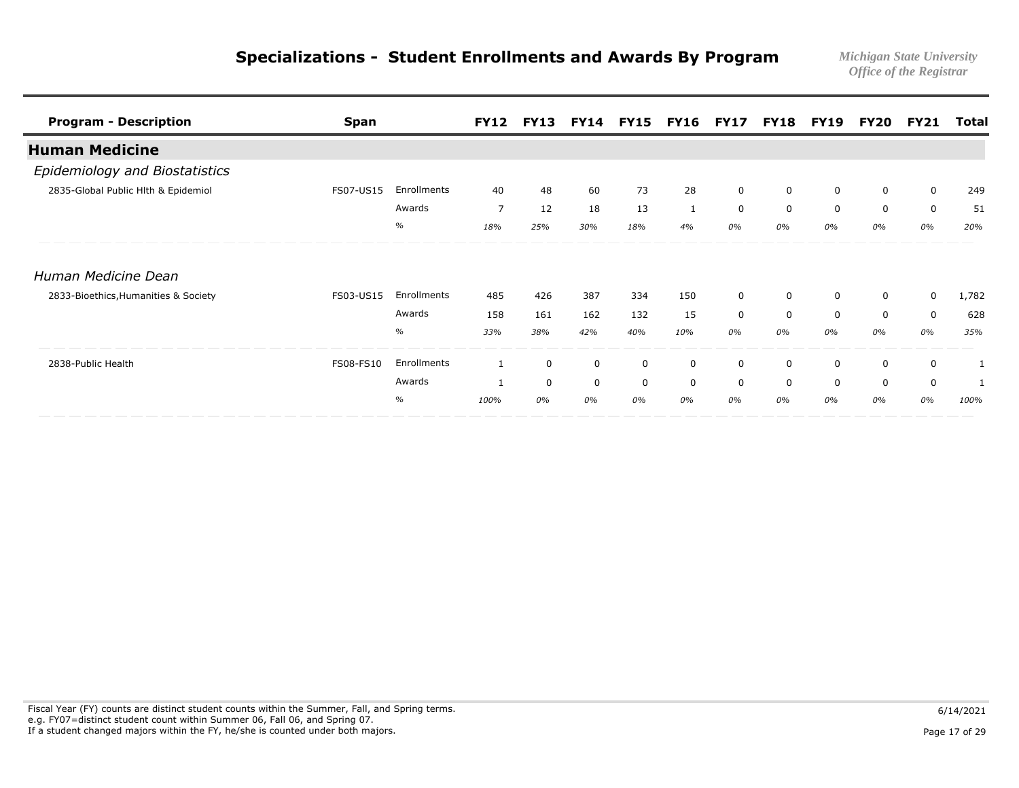| <b>Program - Description</b>         | <b>Span</b> |             | <b>FY12</b>    | <b>FY13</b> |             |     | <b>FY14 FY15 FY16 FY17</b> |             |          | <b>FY18 FY19</b> | FY20        | FY21        | Total |
|--------------------------------------|-------------|-------------|----------------|-------------|-------------|-----|----------------------------|-------------|----------|------------------|-------------|-------------|-------|
| <b>Human Medicine</b>                |             |             |                |             |             |     |                            |             |          |                  |             |             |       |
| Epidemiology and Biostatistics       |             |             |                |             |             |     |                            |             |          |                  |             |             |       |
| 2835-Global Public Hlth & Epidemiol  | FS07-US15   | Enrollments | 40             | 48          | 60          | 73  | 28                         | $\mathbf 0$ | 0        | $\mathbf 0$      | 0           | $\mathbf 0$ | 249   |
|                                      |             | Awards      | $\overline{7}$ | 12          | 18          | 13  | 1                          | 0           | $\Omega$ | $\Omega$         | 0           | $\mathbf 0$ | 51    |
|                                      |             | $\%$        | 18%            | 25%         | 30%         | 18% | 4%                         | 0%          | 0%       | 0%               | 0%          | 0%          | 20%   |
| Human Medicine Dean                  |             |             |                |             |             |     |                            |             |          |                  |             |             |       |
| 2833-Bioethics, Humanities & Society | FS03-US15   | Enrollments | 485            | 426         | 387         | 334 | 150                        | $\mathbf 0$ | 0        | 0                | 0           | 0           | 1,782 |
|                                      |             | Awards      | 158            | 161         | 162         | 132 | 15                         | $\mathbf 0$ | $\Omega$ | $\Omega$         | $\mathbf 0$ | $\mathbf 0$ | 628   |
|                                      |             | $\%$        | 33%            | 38%         | 42%         | 40% | 10%                        | 0%          | 0%       | 0%               | 0%          | 0%          | 35%   |
| 2838-Public Health                   | FS08-FS10   | Enrollments | 1              | 0           | 0           | 0   | 0                          | 0           | 0        | 0                | 0           | 0           |       |
|                                      |             | Awards      |                | $\mathbf 0$ | $\mathbf 0$ | 0   | 0                          | 0           | $\Omega$ | $\Omega$         | 0           | $\mathbf 0$ |       |
|                                      |             | $\%$        | 100%           | 0%          | 0%          | 0%  | 0%                         | 0%          | 0%       | 0%               | 0%          | 0%          | 100%  |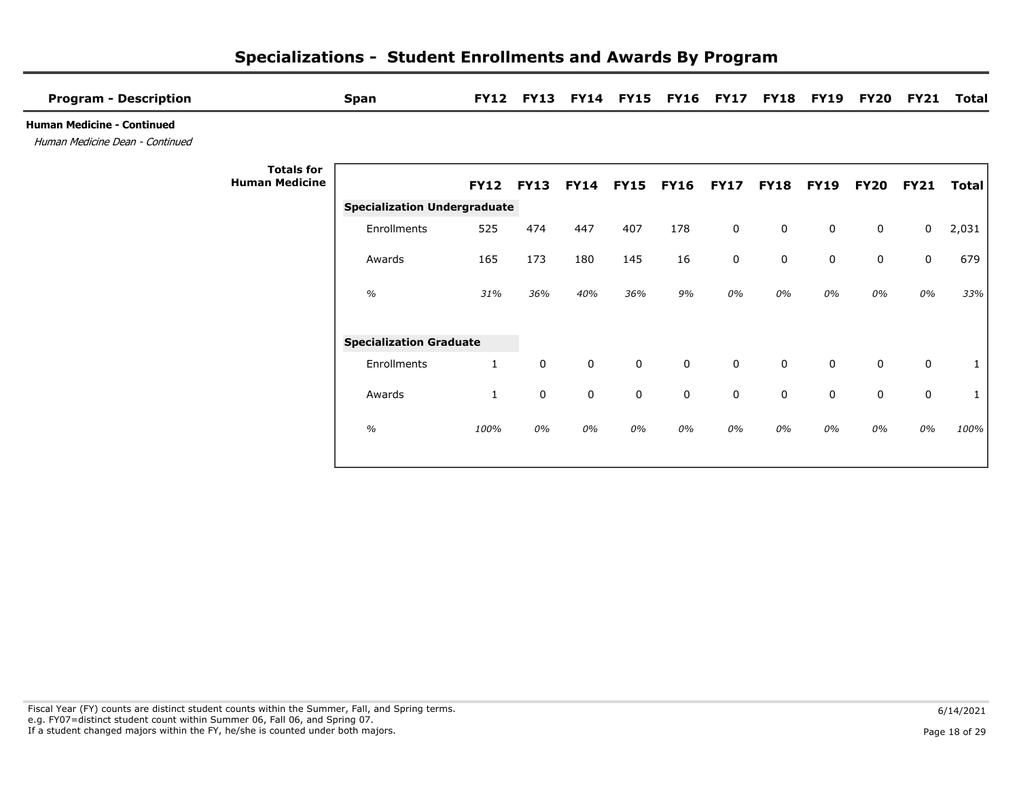| <b>Program - Description</b>                                         | <b>Span</b>                         | <b>FY12</b>  | <b>FY13</b> |     |                | <b>FY14 FY15 FY16 FY17</b> |             |             | <b>FY18 FY19</b> | <b>FY20</b> | <b>FY21</b> | Total |
|----------------------------------------------------------------------|-------------------------------------|--------------|-------------|-----|----------------|----------------------------|-------------|-------------|------------------|-------------|-------------|-------|
| <b>Human Medicine - Continued</b><br>Human Medicine Dean - Continued |                                     |              |             |     |                |                            |             |             |                  |             |             |       |
| <b>Human Medicine</b>                                                | <b>Totals for</b>                   | <b>FY12</b>  | <b>FY13</b> |     | FY14 FY15 FY16 |                            | <b>FY17</b> | <b>FY18</b> | <b>FY19</b>      | <b>FY20</b> | <b>FY21</b> | Total |
|                                                                      | <b>Specialization Undergraduate</b> |              |             |     |                |                            |             |             |                  |             |             |       |
|                                                                      | Enrollments                         | 525          | 474         | 447 | 407            | 178                        | $\mathbf 0$ | $\mathbf 0$ | 0                | 0           | 0           | 2,031 |
|                                                                      | Awards                              | 165          | 173         | 180 | 145            | 16                         | 0           | $\mathbf 0$ | 0                | 0           | 0           | 679   |
|                                                                      | $\%$                                | 31%          | 36%         | 40% | 36%            | 9%                         | 0%          | 0%          | 0%               | 0%          | 0%          | 33%   |
|                                                                      | <b>Specialization Graduate</b>      |              |             |     |                |                            |             |             |                  |             |             |       |
|                                                                      | Enrollments                         | $\mathbf{1}$ | 0           | 0   | $\mathbf 0$    | $\mathbf 0$                | $\mathbf 0$ | $\Omega$    | $\mathbf 0$      | $\mathbf 0$ | 0           |       |
|                                                                      | Awards                              | $\mathbf{1}$ | 0           | 0   | 0              | $\mathbf 0$                | 0           | $\mathbf 0$ | 0                | $\mathbf 0$ | 0           |       |
|                                                                      | $\%$                                | 100%         | 0%          | 0%  | 0%             | 0%                         | 0%          | 0%          | 0%               | 0%          | 0%          | 100%  |

## Fiscal Year (FY) counts are distinct student counts within the Summer, Fall, and Spring terms.  $6/14/2021$  e.g. FY07=distinct student count within Summer 06, Fall 06, and Spring 07. If a student changed majors within the FY, he/she is counted under both majors. Page 18 of 29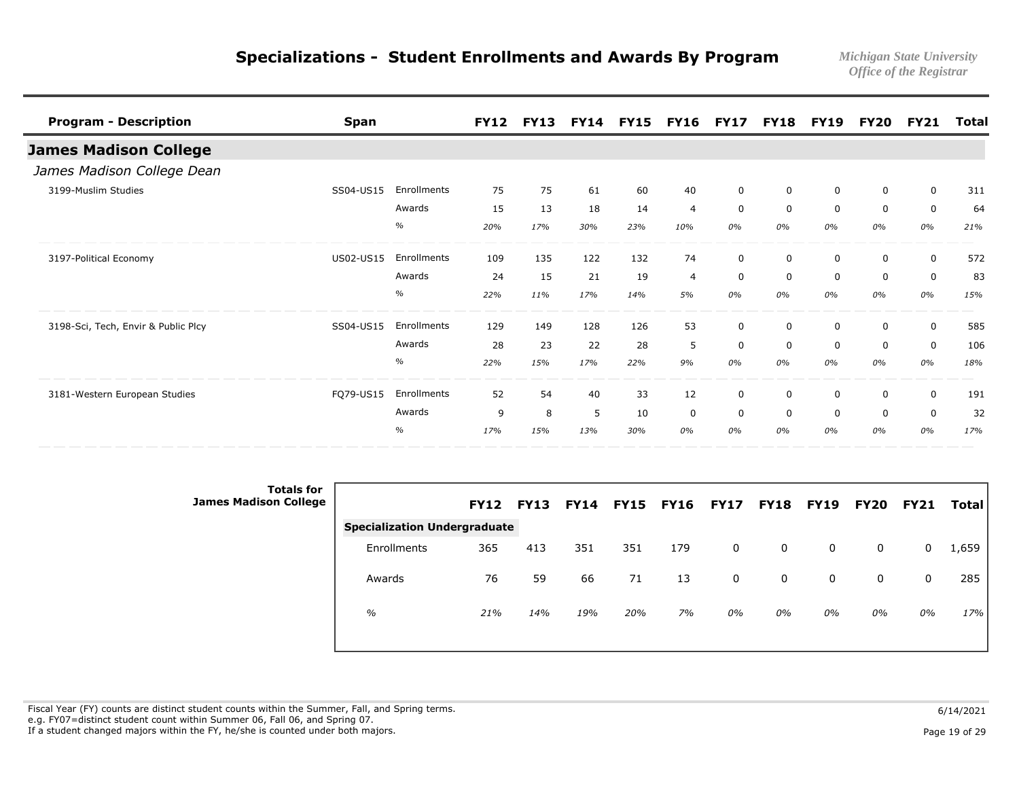| <b>Program - Description</b>        | <b>Span</b>      |               | <b>FY12</b> | <b>FY13</b> | <b>FY14</b> | <b>FY15</b> | <b>FY16</b>    | <b>FY17</b> | <b>FY18</b> | <b>FY19</b> | <b>FY20</b> | <b>FY21</b>  | <b>Total</b> |
|-------------------------------------|------------------|---------------|-------------|-------------|-------------|-------------|----------------|-------------|-------------|-------------|-------------|--------------|--------------|
| <b>James Madison College</b>        |                  |               |             |             |             |             |                |             |             |             |             |              |              |
| James Madison College Dean          |                  |               |             |             |             |             |                |             |             |             |             |              |              |
| 3199-Muslim Studies                 | SS04-US15        | Enrollments   | 75          | 75          | 61          | 60          | 40             | $\mathbf 0$ | 0           | 0           | 0           | $\mathsf{O}$ | 311          |
|                                     |                  | Awards        | 15          | 13          | 18          | 14          | $\overline{4}$ | $\mathbf 0$ | $\Omega$    | $\Omega$    | $\mathbf 0$ | $\mathbf 0$  | 64           |
|                                     |                  | $\%$          | 20%         | 17%         | 30%         | 23%         | 10%            | 0%          | 0%          | 0%          | 0%          | 0%           | 21%          |
| 3197-Political Economy              | <b>US02-US15</b> | Enrollments   | 109         | 135         | 122         | 132         | 74             | $\mathbf 0$ | $\Omega$    | 0           | 0           | 0            | 572          |
|                                     |                  | Awards        | 24          | 15          | 21          | 19          | $\overline{4}$ | 0           | 0           | $\mathbf 0$ | $\mathbf 0$ | $\mathbf 0$  | 83           |
|                                     |                  | $\frac{1}{2}$ | 22%         | 11%         | 17%         | 14%         | 5%             | 0%          | 0%          | 0%          | 0%          | 0%           | 15%          |
| 3198-Sci, Tech, Envir & Public Plcy | SS04-US15        | Enrollments   | 129         | 149         | 128         | 126         | 53             | $\mathbf 0$ | $\Omega$    | $\Omega$    | 0           | $\mathbf 0$  | 585          |
|                                     |                  | Awards        | 28          | 23          | 22          | 28          | 5              | $\mathbf 0$ | $\Omega$    | $\Omega$    | 0           | $\mathbf 0$  | 106          |
|                                     |                  | $\%$          | 22%         | 15%         | 17%         | 22%         | 9%             | 0%          | 0%          | 0%          | 0%          | 0%           | 18%          |
| 3181-Western European Studies       | FQ79-US15        | Enrollments   | 52          | 54          | 40          | 33          | 12             | 0           | $\Omega$    | 0           | 0           | $\mathbf 0$  | 191          |
|                                     |                  | Awards        | 9           | 8           | 5           | 10          | $\mathbf 0$    | $\mathbf 0$ | $\mathbf 0$ | $\Omega$    | $\mathbf 0$ | $\mathbf 0$  | 32           |
|                                     |                  | $\%$          | 17%         | 15%         | 13%         | 30%         | 0%             | 0%          | 0%          | 0%          | 0%          | 0%           | 17%          |

| <b>Totals for</b><br><b>James Madison College</b> |                                     | <b>FY12</b> | <b>FY13</b> | <b>FY14</b> | <b>FY15</b> | <b>FY16</b> | <b>FY17</b> | <b>FY18 FY19</b> |    | <b>FY20</b> | <b>FY21</b> | <b>Total</b> |
|---------------------------------------------------|-------------------------------------|-------------|-------------|-------------|-------------|-------------|-------------|------------------|----|-------------|-------------|--------------|
|                                                   | <b>Specialization Undergraduate</b> |             |             |             |             |             |             |                  |    |             |             |              |
|                                                   | Enrollments                         | 365         | 413         | 351         | 351         | 179         | 0           | 0                | 0  | 0           | 0           | 1,659        |
|                                                   | Awards                              | 76          | 59          | 66          | 71          | 13          | 0           | 0                | 0  | 0           | 0           | 285          |
|                                                   | $\%$                                | 21%         | 14%         | 19%         | 20%         | 7%          | 0%          | 0%               | 0% | 0%          | 0%          | 17%          |
|                                                   |                                     |             |             |             |             |             |             |                  |    |             |             |              |

Fiscal Year (FY) counts are distinct student counts within the Summer, Fall, and Spring terms.  $6/14/2021$  e.g. FY07=distinct student count within Summer 06, Fall 06, and Spring 07. If a student changed majors within the FY, he/she is counted under both majors. Page 19 of 29 page 19 of 29 page 19 of 29 page 19 of 29 page 19 of 29 page 19 of 29 page 19 of 29 page 19 of 29 page 19 of 29 page 19 of 29 pa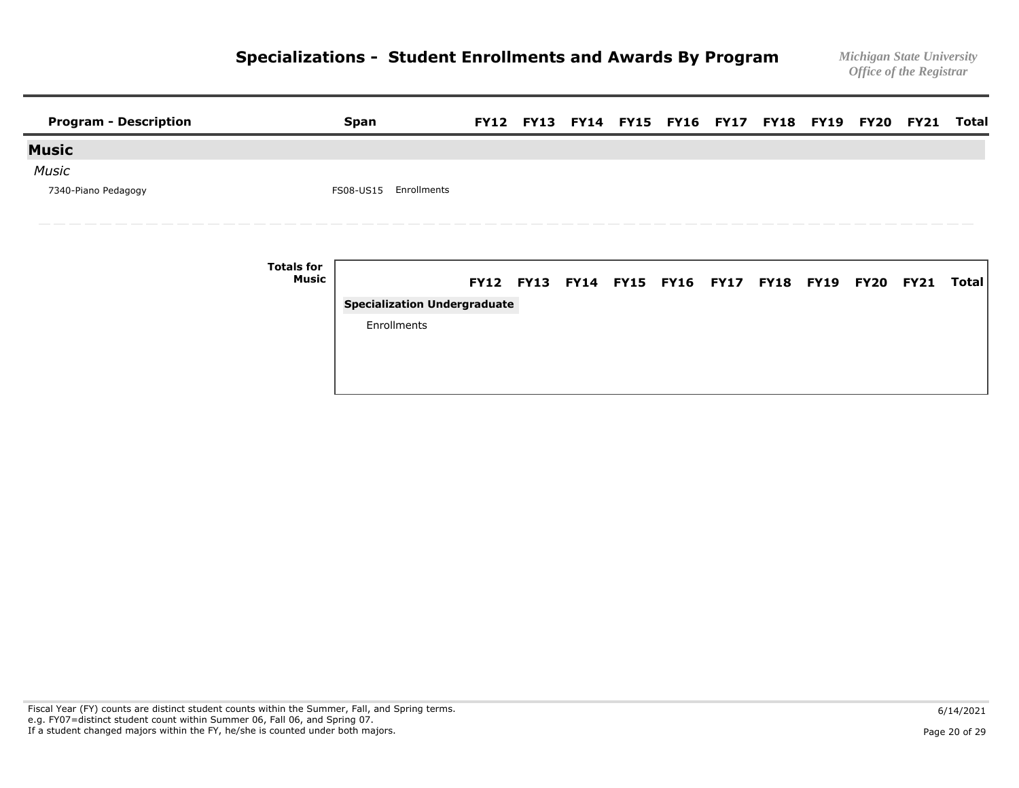| <b>Program - Description</b> |                            | <b>Span</b>                         |                                                   |  |  |  |  | FY12 FY13 FY14 FY15 FY16 FY17 FY18 FY19 FY20 FY21 Total |       |
|------------------------------|----------------------------|-------------------------------------|---------------------------------------------------|--|--|--|--|---------------------------------------------------------|-------|
| <b>Music</b>                 |                            |                                     |                                                   |  |  |  |  |                                                         |       |
| <b>Music</b>                 |                            |                                     |                                                   |  |  |  |  |                                                         |       |
| 7340-Piano Pedagogy          |                            | Enrollments<br>FS08-US15            |                                                   |  |  |  |  |                                                         |       |
|                              | <b>Totals for</b><br>Music |                                     | FY12 FY13 FY14 FY15 FY16 FY17 FY18 FY19 FY20 FY21 |  |  |  |  |                                                         | Total |
|                              |                            | <b>Specialization Undergraduate</b> |                                                   |  |  |  |  |                                                         |       |
|                              |                            | Enrollments                         |                                                   |  |  |  |  |                                                         |       |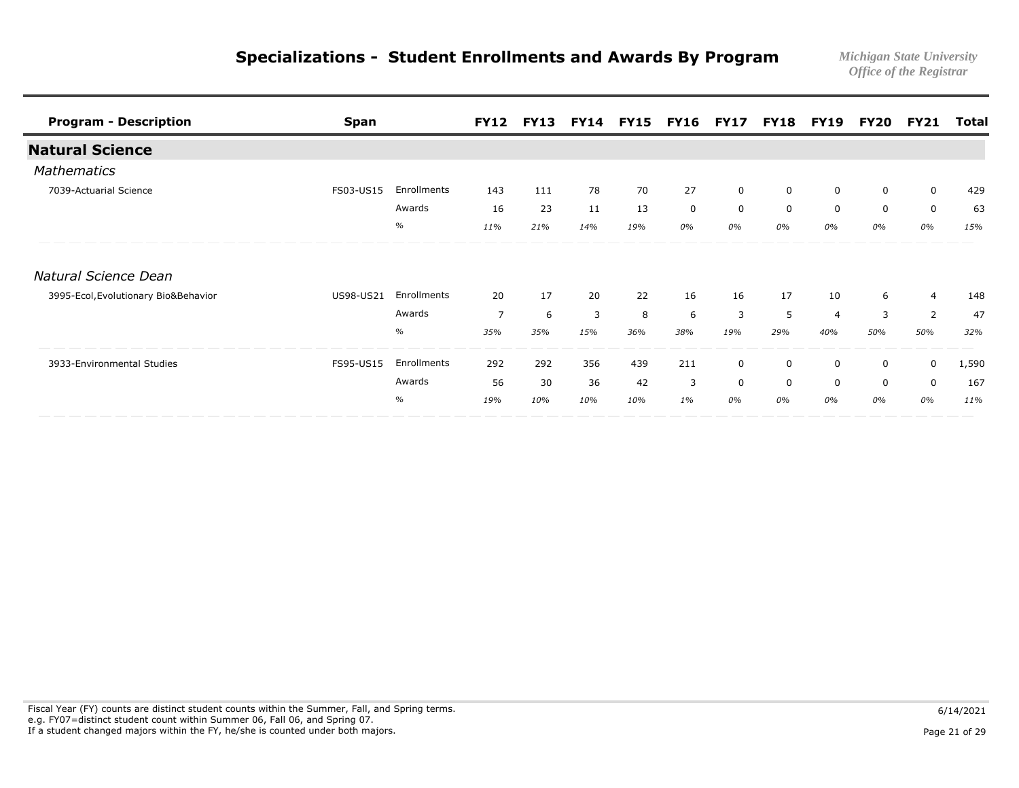| <b>Program - Description</b>         | <b>Span</b> |             | <b>FY12</b>    | <b>FY13</b> |     | <b>FY14 FY15 FY16 FY17</b> |             |             | <b>FY18</b> | <b>FY19</b>    | FY20        | <b>FY21</b>    | Total |
|--------------------------------------|-------------|-------------|----------------|-------------|-----|----------------------------|-------------|-------------|-------------|----------------|-------------|----------------|-------|
| <b>Natural Science</b>               |             |             |                |             |     |                            |             |             |             |                |             |                |       |
| <b>Mathematics</b>                   |             |             |                |             |     |                            |             |             |             |                |             |                |       |
| 7039-Actuarial Science               | FS03-US15   | Enrollments | 143            | 111         | 78  | 70                         | 27          | $\mathbf 0$ | 0           | 0              | 0           | $\mathsf{O}$   | 429   |
|                                      |             | Awards      | 16             | 23          | 11  | 13                         | $\mathbf 0$ | $\mathbf 0$ | $\Omega$    | $\Omega$       | $\mathbf 0$ | $\mathbf 0$    | 63    |
|                                      |             | $\%$        | 11%            | 21%         | 14% | 19%                        | 0%          | 0%          | 0%          | 0%             | 0%          | 0%             | 15%   |
| Natural Science Dean                 |             |             |                |             |     |                            |             |             |             |                |             |                |       |
| 3995-Ecol, Evolutionary Bio&Behavior | US98-US21   | Enrollments | 20             | 17          | 20  | 22                         | 16          | 16          | 17          | 10             | 6           | $\overline{4}$ | 148   |
|                                      |             | Awards      | $\overline{7}$ | 6           | 3   | 8                          | 6           | 3           | 5           | $\overline{4}$ | 3           | 2              | 47    |
|                                      |             | $\%$        | 35%            | 35%         | 15% | 36%                        | 38%         | 19%         | 29%         | 40%            | 50%         | 50%            | 32%   |
| 3933-Environmental Studies           | FS95-US15   | Enrollments | 292            | 292         | 356 | 439                        | 211         | 0           | 0           | 0              | 0           | $\mathbf 0$    | 1,590 |
|                                      |             | Awards      | 56             | 30          | 36  | 42                         | 3           | $\mathbf 0$ | $\Omega$    | $\Omega$       | $\mathbf 0$ | $\mathbf 0$    | 167   |
|                                      |             | $\%$        | 19%            | 10%         | 10% | 10%                        | $1\%$       | 0%          | 0%          | 0%             | 0%          | 0%             | 11%   |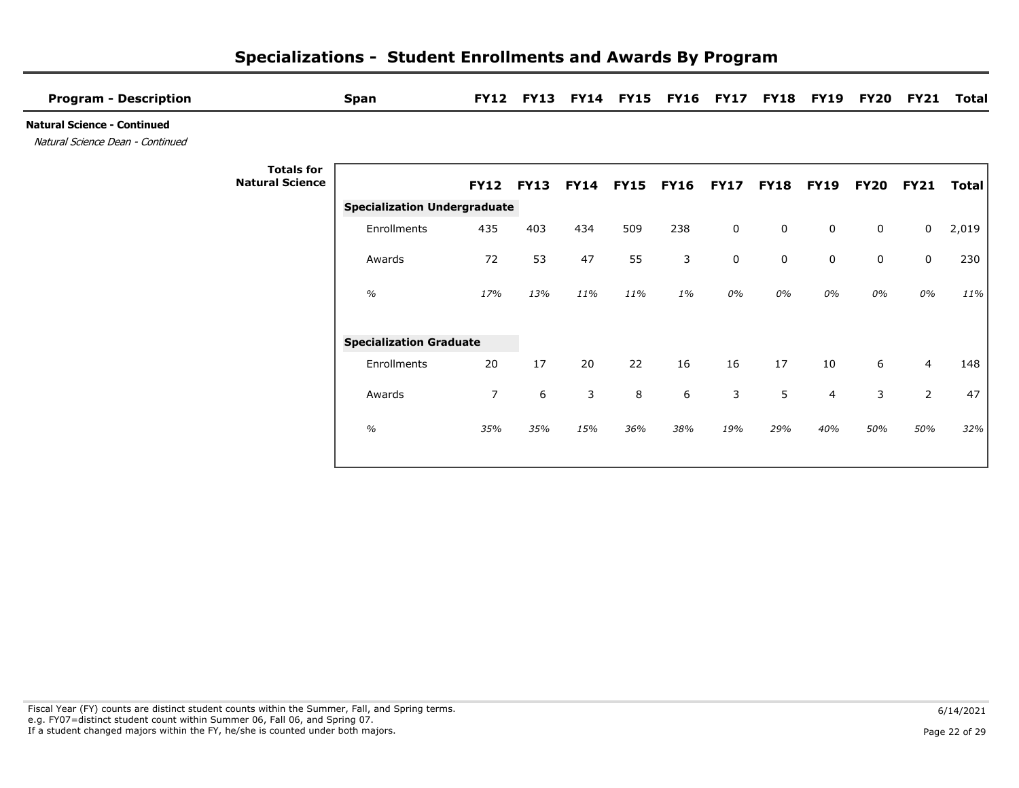| <b>Program - Description</b>                                           |                                             | <b>Span</b>                         | <b>FY12</b>    | <b>FY13</b> |     |                | <b>FY14 FY15 FY16 FY17</b> |             | <b>FY18</b> | <b>FY19</b> | <b>FY20</b>  | <b>FY21</b>    | Total |
|------------------------------------------------------------------------|---------------------------------------------|-------------------------------------|----------------|-------------|-----|----------------|----------------------------|-------------|-------------|-------------|--------------|----------------|-------|
| <b>Natural Science - Continued</b><br>Natural Science Dean - Continued |                                             |                                     |                |             |     |                |                            |             |             |             |              |                |       |
|                                                                        | <b>Totals for</b><br><b>Natural Science</b> |                                     | <b>FY12</b>    | <b>FY13</b> |     | FY14 FY15 FY16 |                            | <b>FY17</b> | <b>FY18</b> | <b>FY19</b> | <b>FY20</b>  | <b>FY21</b>    | Total |
|                                                                        |                                             | <b>Specialization Undergraduate</b> |                |             |     |                |                            |             |             |             |              |                |       |
|                                                                        |                                             | Enrollments                         | 435            | 403         | 434 | 509            | 238                        | $\mathbf 0$ | $\mathbf 0$ | $\mathbf 0$ | $\mathsf{O}$ | $\mathbf 0$    | 2,019 |
|                                                                        |                                             | Awards                              | 72             | 53          | 47  | 55             | 3                          | $\mathbf 0$ | $\mathbf 0$ | $\mathbf 0$ | $\mathbf 0$  | $\mathbf 0$    | 230   |
|                                                                        |                                             | $\%$                                | 17%            | 13%         | 11% | 11%            | $1\%$                      | 0%          | 0%          | 0%          | 0%           | 0%             | 11%   |
|                                                                        |                                             | <b>Specialization Graduate</b>      |                |             |     |                |                            |             |             |             |              |                |       |
|                                                                        |                                             | Enrollments                         | 20             | 17          | 20  | 22             | 16                         | 16          | 17          | 10          | 6            | 4              | 148   |
|                                                                        |                                             | Awards                              | $\overline{7}$ | 6           | 3   | 8              | 6                          | 3           | 5           | 4           | 3            | $\overline{2}$ | 47    |
|                                                                        |                                             | $\%$                                | 35%            | 35%         | 15% | 36%            | 38%                        | 19%         | 29%         | 40%         | 50%          | 50%            | 32%   |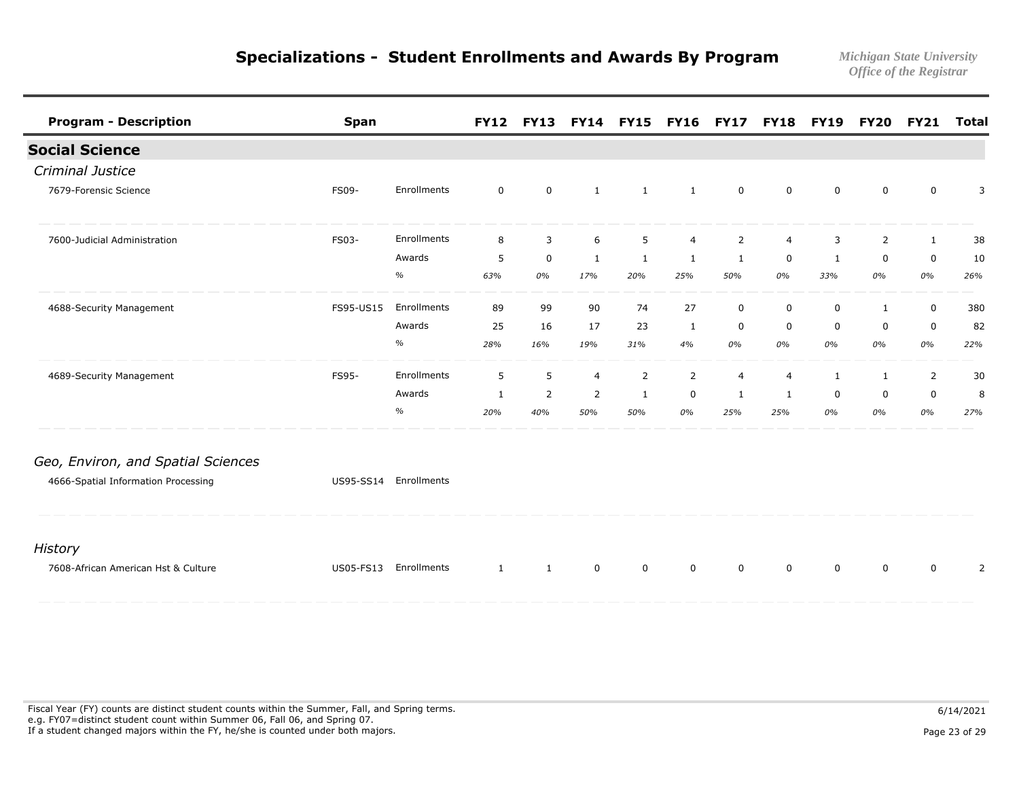| <b>Program - Description</b>        | <b>Span</b> |             | <b>FY12</b>  |                | <b>FY13 FY14 FY15</b> |                | <b>FY16 FY17</b> |                |                | <b>FY18 FY19</b> |              | <b>FY20 FY21</b> | Total |
|-------------------------------------|-------------|-------------|--------------|----------------|-----------------------|----------------|------------------|----------------|----------------|------------------|--------------|------------------|-------|
| <b>Social Science</b>               |             |             |              |                |                       |                |                  |                |                |                  |              |                  |       |
| Criminal Justice                    |             |             |              |                |                       |                |                  |                |                |                  |              |                  |       |
| 7679-Forensic Science               | FS09-       | Enrollments | $\mathbf 0$  | $\mathbf 0$    | $\mathbf{1}$          | 1              | 1                | $\mathbf 0$    | $\mathbf 0$    | 0                | 0            | 0                | 3     |
| 7600-Judicial Administration        | FS03-       | Enrollments | 8            | $\overline{3}$ | 6                     | 5              | $\overline{4}$   | $\overline{2}$ | $\overline{4}$ | 3                | 2            | $\mathbf{1}$     | 38    |
|                                     |             | Awards      | 5            | $\mathbf 0$    | $\mathbf{1}$          | 1              | 1                | 1              | $\mathbf 0$    | 1                | $\mathbf 0$  | 0                | 10    |
|                                     |             | $\%$        | 63%          | 0%             | 17%                   | 20%            | 25%              | 50%            | 0%             | 33%              | 0%           | 0%               | 26%   |
| 4688-Security Management            | FS95-US15   | Enrollments | 89           | 99             | 90                    | 74             | 27               | $\mathbf 0$    | $\mathbf 0$    | $\mathbf 0$      | $\mathbf{1}$ | $\mathbf 0$      | 380   |
|                                     |             | Awards      | 25           | 16             | 17                    | 23             | $\mathbf{1}$     | 0              | $\mathbf 0$    | 0                | 0            | 0                | 82    |
|                                     |             | $\%$        | 28%          | 16%            | 19%                   | 31%            | 4%               | 0%             | 0%             | 0%               | 0%           | 0%               | 22%   |
| 4689-Security Management            | FS95-       | Enrollments | 5            | 5              | 4                     | $\overline{2}$ | 2                | $\overline{4}$ | 4              | 1                | 1            | $\overline{2}$   | 30    |
|                                     |             | Awards      | $\mathbf{1}$ | $\overline{2}$ | $\overline{2}$        | 1              | 0                | 1              | 1              | 0                | 0            | 0                | 8     |
|                                     |             | $\%$        | 20%          | 40%            | 50%                   | 50%            | 0%               | 25%            | 25%            | 0%               | 0%           | 0%               | 27%   |
| Geo, Environ, and Spatial Sciences  |             |             |              |                |                       |                |                  |                |                |                  |              |                  |       |
| 4666-Spatial Information Processing | US95-SS14   | Enrollments |              |                |                       |                |                  |                |                |                  |              |                  |       |
| <b>History</b>                      |             |             |              |                |                       |                |                  |                |                |                  |              |                  |       |
| 7608-African American Hst & Culture | US05-FS13   | Enrollments | $\mathbf{1}$ | $\mathbf{1}$   | $\mathbf 0$           | 0              | $\mathbf 0$      | $\mathbf 0$    | $\Omega$       | $\Omega$         | 0            | 0                | 2     |
|                                     |             |             |              |                |                       |                |                  |                |                |                  |              |                  |       |

Fiscal Year (FY) counts are distinct student counts within the Summer, Fall, and Spring terms.  $6/14/2021$  e.g. FY07=distinct student count within Summer 06, Fall 06, and Spring 07. If a student changed majors within the FY, he/she is counted under both majors. Page 23 of 29 page 23 of 29 page 23 of 29 page 23 of 29 page 23 of 29 page 23 of 29 page 23 of 29 page 23 of 29 page 23 of 29 page 23 of 29 pa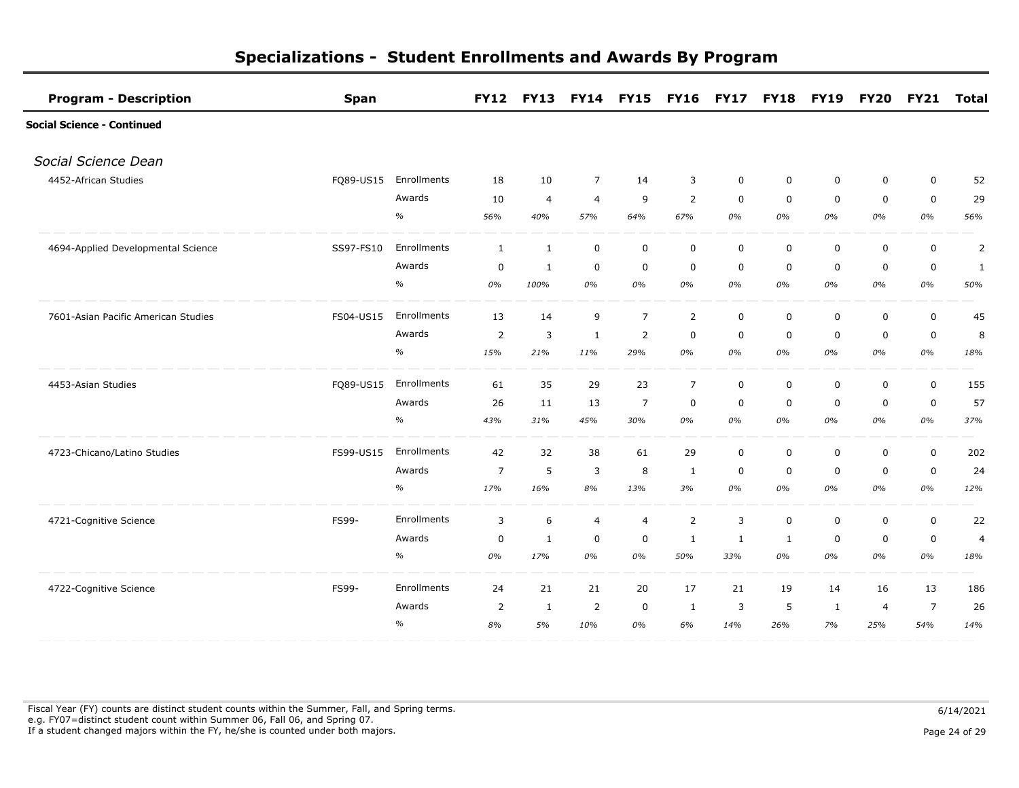| <b>Program - Description</b>        | <b>Span</b> |             |                | <b>FY12 FY13</b> |                | <b>FY14 FY15</b> | <b>FY16 FY17</b> |             | <b>FY18</b> | <b>FY19</b>  | <b>FY20</b>    | <b>FY21</b>    | Total          |
|-------------------------------------|-------------|-------------|----------------|------------------|----------------|------------------|------------------|-------------|-------------|--------------|----------------|----------------|----------------|
| <b>Social Science - Continued</b>   |             |             |                |                  |                |                  |                  |             |             |              |                |                |                |
| Social Science Dean                 |             |             |                |                  |                |                  |                  |             |             |              |                |                |                |
| 4452-African Studies                | FQ89-US15   | Enrollments | 18             | 10               | $\overline{7}$ | 14               | 3                | 0           | 0           | 0            | 0              | $\mathbf 0$    | 52             |
|                                     |             | Awards      | 10             | $\overline{4}$   | $\overline{4}$ | 9                | 2                | $\mathbf 0$ | $\mathbf 0$ | $\mathbf 0$  | $\mathbf 0$    | $\mathbf 0$    | 29             |
|                                     |             | $\%$        | 56%            | 40%              | 57%            | 64%              | 67%              | 0%          | 0%          | $0\%$        | $0\%$          | 0%             | 56%            |
| 4694-Applied Developmental Science  | SS97-FS10   | Enrollments | $\mathbf{1}$   | $\mathbf{1}$     | $\mathbf 0$    | $\mathbf 0$      | $\mathsf 0$      | $\mathbf 0$ | $\mathbf 0$ | 0            | $\mathbf 0$    | $\mathbf 0$    | $\overline{2}$ |
|                                     |             | Awards      | 0              | $\mathbf{1}$     | $\mathbf 0$    | 0                | $\mathbf 0$      | 0           | $\mathbf 0$ | 0            | $\mathbf 0$    | 0              | 1              |
|                                     |             | $\%$        | 0%             | 100%             | 0%             | 0%               | 0%               | 0%          | 0%          | 0%           | 0%             | 0%             | 50%            |
| 7601-Asian Pacific American Studies | FS04-US15   | Enrollments | 13             | 14               | 9              | $\overline{7}$   | $\overline{2}$   | $\mathsf 0$ | $\mathbf 0$ | $\mathbf 0$  | $\mathbf 0$    | $\mathbf 0$    | 45             |
|                                     |             | Awards      | $\overline{2}$ | 3                | $\mathbf{1}$   | $\overline{2}$   | $\mathbf 0$      | $\mathbf 0$ | $\mathbf 0$ | $\mathbf 0$  | $\mathbf 0$    | $\pmb{0}$      | 8              |
|                                     |             | $\%$        | 15%            | 21%              | 11%            | 29%              | 0%               | 0%          | 0%          | 0%           | 0%             | 0%             | 18%            |
| 4453-Asian Studies                  | FQ89-US15   | Enrollments | 61             | 35               | 29             | 23               | $\overline{7}$   | $\mathbf 0$ | $\mathbf 0$ | 0            | $\mathbf 0$    | $\mathbf 0$    | 155            |
|                                     |             | Awards      | 26             | 11               | 13             | $\overline{7}$   | $\mathbf 0$      | $\mathbf 0$ | $\mathbf 0$ | $\mathbf 0$  | $\mathbf 0$    | $\mathbf 0$    | 57             |
|                                     |             | $\%$        | 43%            | 31%              | 45%            | 30%              | 0%               | 0%          | 0%          | 0%           | 0%             | 0%             | 37%            |
| 4723-Chicano/Latino Studies         | FS99-US15   | Enrollments | 42             | 32               | 38             | 61               | 29               | 0           | $\mathbf 0$ | 0            | $\mathbf 0$    | $\mathbf 0$    | 202            |
|                                     |             | Awards      | $\overline{7}$ | 5                | 3              | 8                | 1                | $\mathbf 0$ | $\mathbf 0$ | 0            | $\mathbf 0$    | $\mathbf 0$    | 24             |
|                                     |             | $\%$        | 17%            | 16%              | 8%             | 13%              | 3%               | 0%          | 0%          | 0%           | 0%             | 0%             | 12%            |
| 4721-Cognitive Science              | FS99-       | Enrollments | 3              | 6                | $\overline{4}$ | $\overline{4}$   | $\overline{2}$   | 3           | $\pmb{0}$   | 0            | $\mathbf 0$    | $\mathbf 0$    | 22             |
|                                     |             | Awards      | 0              | 1                | $\mathbf 0$    | 0                | 1                | 1           | 1           | 0            | $\mathbf 0$    | $\mathbf 0$    | $\overline{a}$ |
|                                     |             | $\%$        | 0%             | 17%              | 0%             | 0%               | 50%              | 33%         | 0%          | 0%           | 0%             | 0%             | 18%            |
| 4722-Cognitive Science              | FS99-       | Enrollments | 24             | 21               | 21             | 20               | 17               | 21          | 19          | 14           | 16             | 13             | 186            |
|                                     |             | Awards      | 2              | $\mathbf{1}$     | $\overline{2}$ | 0                | 1                | 3           | 5           | $\mathbf{1}$ | $\overline{4}$ | $\overline{7}$ | 26             |
|                                     |             | $\%$        | 8%             | 5%               | 10%            | 0%               | 6%               | 14%         | 26%         | 7%           | 25%            | 54%            | 14%            |

Fiscal Year (FY) counts are distinct student counts within the Summer, Fall, and Spring terms.  $6/14/2021$  e.g. FY07=distinct student count within Summer 06, Fall 06, and Spring 07. If a student changed majors within the FY, he/she is counted under both majors. Page 24 of 29 page 24 of 29 page 24 of 29 page 24 of 29 page 24 of 29 page 24 of 29 page 24 of 29 page 24 of 29 page 24 of 29 page 24 of 29 pa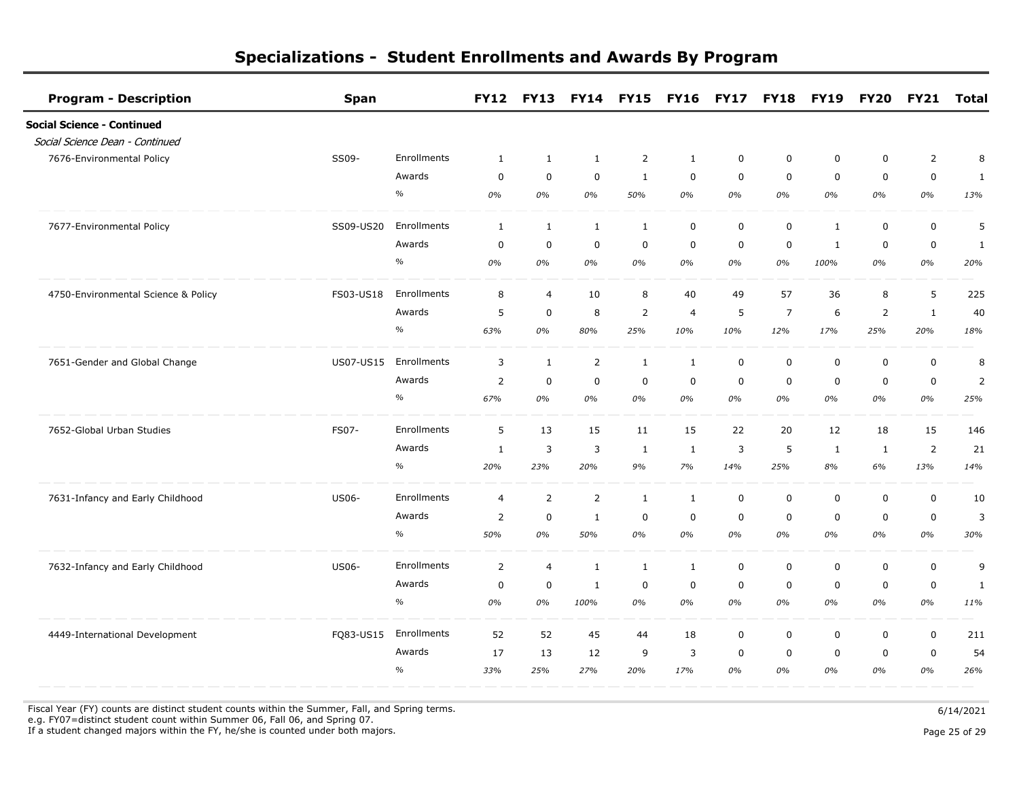| <b>Program - Description</b>        | <b>Span</b>      |             | <b>FY12</b>    | <b>FY13</b>    |                | FY14 FY15 FY16 FY17 |                |             | <b>FY18</b>    | <b>FY19</b>  | <b>FY20</b>    | <b>FY21</b>    | <b>Total</b>   |
|-------------------------------------|------------------|-------------|----------------|----------------|----------------|---------------------|----------------|-------------|----------------|--------------|----------------|----------------|----------------|
| <b>Social Science - Continued</b>   |                  |             |                |                |                |                     |                |             |                |              |                |                |                |
| Social Science Dean - Continued     |                  |             |                |                |                |                     |                |             |                |              |                |                |                |
| 7676-Environmental Policy           | SS09-            | Enrollments | 1              | $\mathbf{1}$   | 1              | $\overline{2}$      | 1              | 0           | 0              | 0            | $\mathbf 0$    | $\overline{2}$ | 8              |
|                                     |                  | Awards      | 0              | $\mathbf 0$    | $\mathbf 0$    | 1                   | $\mathbf 0$    | $\mathbf 0$ | $\mathbf 0$    | $\mathbf 0$  | $\mathbf 0$    | $\mathbf 0$    | 1              |
|                                     |                  | $\%$        | 0%             | 0%             | 0%             | 50%                 | 0%             | 0%          | 0%             | 0%           | 0%             | 0%             | 13%            |
| 7677-Environmental Policy           | SS09-US20        | Enrollments | $\mathbf{1}$   | $\mathbf{1}$   | $\mathbf{1}$   | $\mathbf{1}$        | $\mathbf 0$    | $\mathbf 0$ | $\mathsf 0$    | $\mathbf{1}$ | $\pmb{0}$      | $\pmb{0}$      | 5              |
|                                     |                  | Awards      | $\mathbf 0$    | $\mathbf 0$    | $\mathbf 0$    | $\mathbf 0$         | $\mathbf 0$    | $\mathbf 0$ | $\mathbf 0$    | 1            | $\mathbf 0$    | $\mathbf 0$    | 1              |
|                                     |                  | $\%$        | 0%             | 0%             | 0%             | 0%                  | 0%             | 0%          | 0%             | 100%         | 0%             | $0\%$          | 20%            |
| 4750-Environmental Science & Policy | FS03-US18        | Enrollments | 8              | $\overline{4}$ | 10             | 8                   | 40             | 49          | 57             | 36           | 8              | 5              | 225            |
|                                     |                  | Awards      | 5              | $\mathbf 0$    | 8              | $\overline{2}$      | $\overline{4}$ | 5           | $\overline{7}$ | 6            | $\overline{2}$ | $\mathbf{1}$   | 40             |
|                                     |                  | $\%$        | 63%            | 0%             | 80%            | 25%                 | 10%            | 10%         | 12%            | 17%          | 25%            | 20%            | 18%            |
| 7651-Gender and Global Change       | <b>US07-US15</b> | Enrollments | 3              | $\mathbf{1}$   | $\overline{2}$ | $\mathbf{1}$        | $\mathbf{1}$   | 0           | $\mathbf 0$    | $\mathbf 0$  | $\mathbf 0$    | $\pmb{0}$      | 8              |
|                                     |                  | Awards      | $\overline{2}$ | $\mathbf 0$    | $\mathbf 0$    | $\mathbf 0$         | $\mathbf 0$    | $\mathbf 0$ | $\Omega$       | $\mathbf 0$  | $\mathbf 0$    | $\mathbf 0$    | $\overline{2}$ |
|                                     |                  | $\%$        | 67%            | 0%             | 0%             | 0%                  | 0%             | 0%          | 0%             | 0%           | 0%             | 0%             | 25%            |
| 7652-Global Urban Studies           | FS07-            | Enrollments | 5              | 13             | 15             | 11                  | 15             | 22          | 20             | 12           | 18             | 15             | 146            |
|                                     |                  | Awards      | 1              | 3              | 3              | 1                   | 1              | 3           | 5              | 1            | 1              | $\overline{2}$ | 21             |
|                                     |                  | $\%$        | 20%            | 23%            | 20%            | 9%                  | 7%             | 14%         | 25%            | 8%           | 6%             | 13%            | 14%            |
| 7631-Infancy and Early Childhood    | <b>US06-</b>     | Enrollments | $\overline{4}$ | $\overline{2}$ | $\overline{2}$ | $\mathbf{1}$        | $\mathbf{1}$   | $\mathbf 0$ | $\mathbf 0$    | $\mathbf 0$  | $\mathbf 0$    | $\mathbf 0$    | 10             |
|                                     |                  | Awards      | $\overline{2}$ | $\mathbf 0$    | $\mathbf{1}$   | 0                   | $\mathbf 0$    | $\mathbf 0$ | $\mathbf 0$    | 0            | $\mathbf 0$    | $\mathbf 0$    | 3              |
|                                     |                  | $\%$        | 50%            | 0%             | 50%            | 0%                  | 0%             | 0%          | 0%             | 0%           | 0%             | 0%             | 30%            |
| 7632-Infancy and Early Childhood    | <b>US06-</b>     | Enrollments | $\overline{2}$ | $\overline{4}$ | $\mathbf{1}$   | $\mathbf{1}$        | $\mathbf{1}$   | $\mathbf 0$ | $\mathbf 0$    | $\mathbf 0$  | $\mathbf 0$    | $\mathbf 0$    | 9              |
|                                     |                  | Awards      | $\mathbf 0$    | $\mathbf 0$    | $\mathbf{1}$   | 0                   | 0              | 0           | $\mathbf 0$    | $\mathbf 0$  | $\mathbf 0$    | 0              | $\mathbf{1}$   |
|                                     |                  | $\%$        | 0%             | 0%             | 100%           | 0%                  | 0%             | 0%          | 0%             | 0%           | 0%             | 0%             | 11%            |
| 4449-International Development      | FQ83-US15        | Enrollments | 52             | 52             | 45             | 44                  | 18             | 0           | $\mathbf 0$    | 0            | $\mathbf 0$    | $\mathbf 0$    | 211            |
|                                     |                  | Awards      | 17             | 13             | 12             | 9                   | 3              | $\mathbf 0$ | $\mathbf 0$    | $\mathbf 0$  | $\mathbf 0$    | $\mathbf 0$    | 54             |
|                                     |                  | $\%$        | 33%            | 25%            | 27%            | 20%                 | 17%            | 0%          | 0%             | 0%           | 0%             | 0%             | 26%            |

Fiscal Year (FY) counts are distinct student counts within the Summer, Fall, and Spring terms.  $6/14/2021$ e.g. FY07=distinct student count within Summer 06, Fall 06, and Spring 07.

If a student changed majors within the FY, he/she is counted under both majors. Page 25 of 29 of 29 of 29 of 29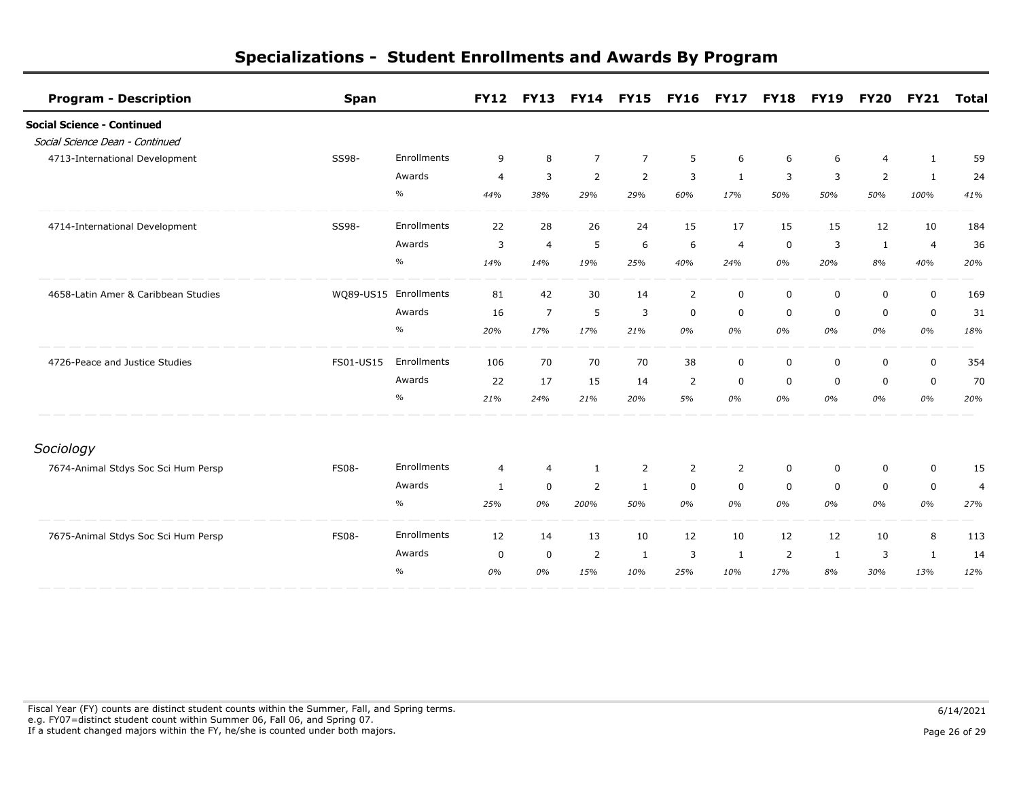| <b>Program - Description</b>        | <b>Span</b>           |             | <b>FY12</b>    | <b>FY13</b>    |                | <b>FY14 FY15</b> | <b>FY16</b>    | <b>FY17</b>    | <b>FY18</b>    | <b>FY19</b> | <b>FY20</b>    | <b>FY21</b>    | <b>Total</b>   |
|-------------------------------------|-----------------------|-------------|----------------|----------------|----------------|------------------|----------------|----------------|----------------|-------------|----------------|----------------|----------------|
| <b>Social Science - Continued</b>   |                       |             |                |                |                |                  |                |                |                |             |                |                |                |
| Social Science Dean - Continued     |                       |             |                |                |                |                  |                |                |                |             |                |                |                |
| 4713-International Development      | SS98-                 | Enrollments | 9              | 8              | $\overline{7}$ | $\overline{7}$   | 5              | 6              | 6              | 6           | $\overline{4}$ | $\mathbf{1}$   | 59             |
|                                     |                       | Awards      | $\overline{4}$ | 3              | $\overline{2}$ | $\overline{2}$   | 3              | 1              | 3              | 3           | $\overline{2}$ | 1              | 24             |
|                                     |                       | $\%$        | 44%            | 38%            | 29%            | 29%              | 60%            | 17%            | 50%            | 50%         | 50%            | 100%           | 41%            |
| 4714-International Development      | SS98-                 | Enrollments | 22             | 28             | 26             | 24               | 15             | 17             | 15             | 15          | 12             | 10             | 184            |
|                                     |                       | Awards      | 3              | $\overline{4}$ | 5              | 6                | 6              | $\overline{4}$ | $\mathbf 0$    | 3           | $\mathbf{1}$   | $\overline{4}$ | 36             |
|                                     |                       | $\%$        | 14%            | 14%            | 19%            | 25%              | 40%            | 24%            | 0%             | 20%         | 8%             | 40%            | 20%            |
| 4658-Latin Amer & Caribbean Studies | WQ89-US15 Enrollments |             | 81             | 42             | 30             | 14               | 2              | $\mathbf 0$    | $\mathbf 0$    | 0           | $\mathbf 0$    | $\mathbf 0$    | 169            |
|                                     |                       | Awards      | 16             | $\overline{7}$ | 5              | 3                | $\mathbf 0$    | 0              | $\mathbf 0$    | 0           | $\mathbf 0$    | $\mathbf 0$    | 31             |
|                                     |                       | $\%$        | 20%            | 17%            | 17%            | 21%              | 0%             | 0%             | 0%             | 0%          | 0%             | 0%             | 18%            |
| 4726-Peace and Justice Studies      | FS01-US15             | Enrollments | 106            | 70             | 70             | 70               | 38             | 0              | $\mathbf 0$    | $\mathbf 0$ | $\mathbf 0$    | $\mathbf 0$    | 354            |
|                                     |                       | Awards      | 22             | 17             | 15             | 14               | $\overline{2}$ | $\mathbf 0$    | $\mathbf 0$    | $\mathbf 0$ | $\mathbf 0$    | $\mathbf 0$    | 70             |
|                                     |                       | $\%$        | 21%            | 24%            | 21%            | 20%              | 5%             | 0%             | 0%             | 0%          | 0%             | 0%             | 20%            |
| Sociology                           |                       |             |                |                |                |                  |                |                |                |             |                |                |                |
| 7674-Animal Stdys Soc Sci Hum Persp | <b>FS08-</b>          | Enrollments | $\overline{4}$ | 4              | $\mathbf{1}$   | 2                | 2              | $\overline{2}$ | 0              | 0           | $\mathbf 0$    | $\mathbf 0$    | 15             |
|                                     |                       | Awards      | $\mathbf{1}$   | $\mathbf 0$    | 2              | $\mathbf{1}$     | $\mathbf 0$    | $\mathbf 0$    | $\mathbf 0$    | $\mathsf 0$ | $\mathbf 0$    | $\mathbf 0$    | $\overline{4}$ |
|                                     |                       | $\%$        | 25%            | 0%             | 200%           | 50%              | 0%             | 0%             | 0%             | 0%          | 0%             | 0%             | 27%            |
| 7675-Animal Stdys Soc Sci Hum Persp | <b>FS08-</b>          | Enrollments | 12             | 14             | 13             | 10               | 12             | 10             | 12             | 12          | 10             | 8              | 113            |
|                                     |                       | Awards      | 0              | 0              | 2              | 1                | 3              | 1              | $\overline{2}$ | 1           | 3              | 1              | 14             |
|                                     |                       | $\%$        | 0%             | 0%             | 15%            | 10%              | 25%            | 10%            | 17%            | 8%          | 30%            | 13%            | 12%            |

Fiscal Year (FY) counts are distinct student counts within the Summer, Fall, and Spring terms.  $6/14/2021$  e.g. FY07=distinct student count within Summer 06, Fall 06, and Spring 07. If a student changed majors within the FY, he/she is counted under both majors. Page 26 of 29 page 26 of 29 page 26 of 29 page 26 of 29 page 26 of 29 page 26 of 29 page 26 of 29 page 26 of 29 page 26 of 29 page 26 of 29 pa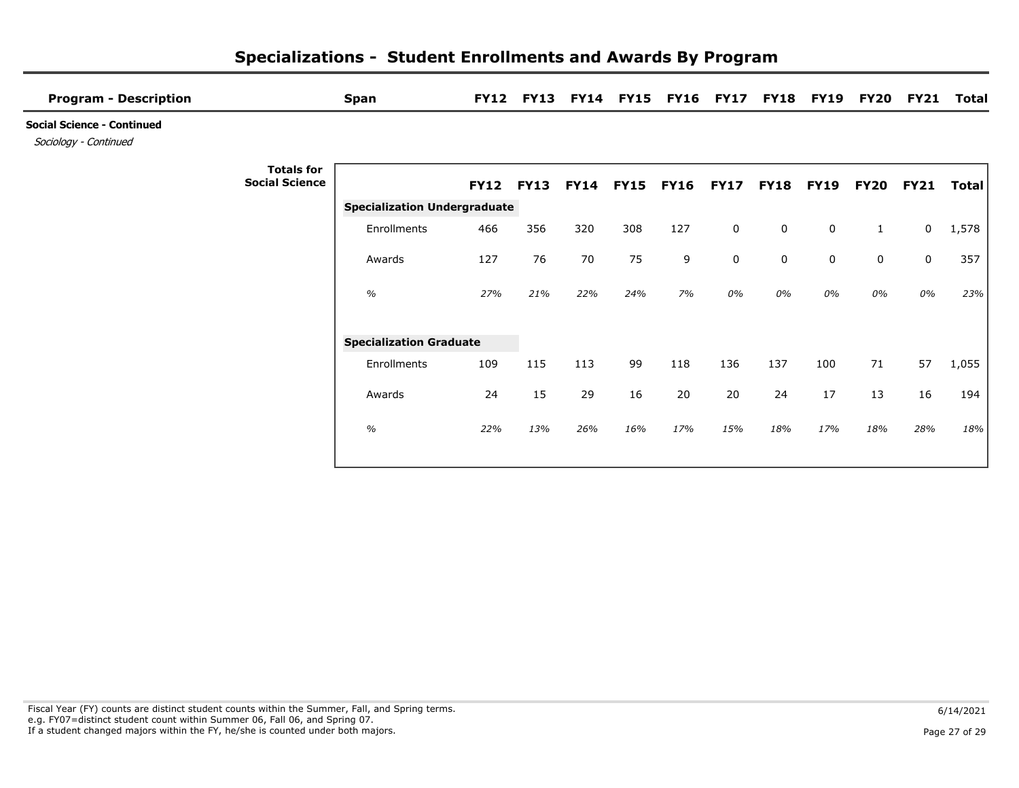| <b>Program - Description</b>                               |                                            | <b>Span</b>                         | <b>FY12</b>      | <b>FY13</b> | <b>FY14</b>      | <b>FY15</b> | <b>FY16</b> | <b>FY17</b> | <b>FY18</b> | <b>FY19</b> | <b>FY20</b>  | <b>FY21</b> | <b>Total</b> |
|------------------------------------------------------------|--------------------------------------------|-------------------------------------|------------------|-------------|------------------|-------------|-------------|-------------|-------------|-------------|--------------|-------------|--------------|
| <b>Social Science - Continued</b><br>Sociology - Continued |                                            |                                     |                  |             |                  |             |             |             |             |             |              |             |              |
|                                                            | <b>Totals for</b><br><b>Social Science</b> |                                     | <b>FY12 FY13</b> |             | <b>FY14 FY15</b> |             | <b>FY16</b> | <b>FY17</b> | <b>FY18</b> | <b>FY19</b> | <b>FY20</b>  | <b>FY21</b> | Total        |
|                                                            |                                            | <b>Specialization Undergraduate</b> |                  |             |                  |             |             |             |             |             |              |             |              |
|                                                            |                                            | Enrollments                         | 466              | 356         | 320              | 308         | 127         | $\mathbf 0$ | $\mathbf 0$ | 0           | $\mathbf{1}$ | 0           | 1,578        |
|                                                            |                                            | Awards                              | 127              | 76          | 70               | 75          | 9           | $\mathbf 0$ | $\mathbf 0$ | $\pmb{0}$   | 0            | 0           | 357          |
|                                                            |                                            | $\frac{1}{2}$                       | 27%              | 21%         | 22%              | 24%         | 7%          | 0%          | 0%          | 0%          | 0%           | 0%          | 23%          |
|                                                            |                                            | <b>Specialization Graduate</b>      |                  |             |                  |             |             |             |             |             |              |             |              |
|                                                            |                                            | Enrollments                         | 109              | 115         | 113              | 99          | 118         | 136         | 137         | 100         | 71           | 57          | 1,055        |
|                                                            |                                            | Awards                              | 24               | 15          | 29               | 16          | 20          | 20          | 24          | 17          | 13           | 16          | 194          |
|                                                            |                                            | $\%$                                | 22%              | 13%         | 26%              | 16%         | 17%         | 15%         | 18%         | 17%         | 18%          | 28%         | 18%          |
|                                                            |                                            |                                     |                  |             |                  |             |             |             |             |             |              |             |              |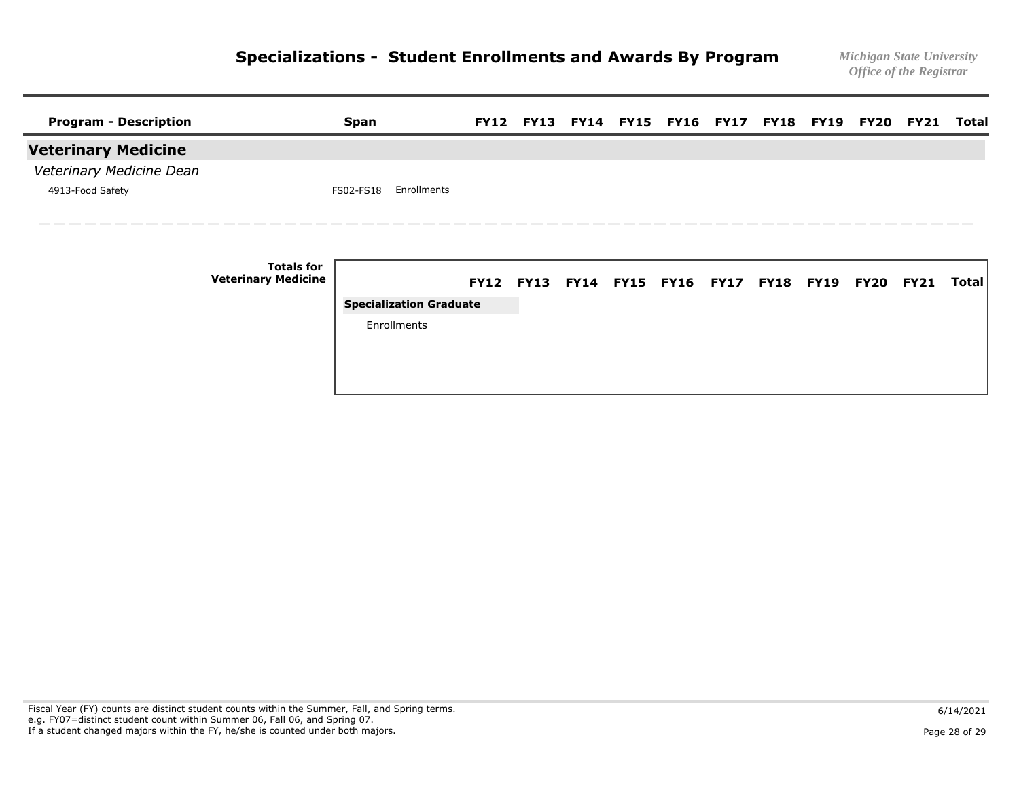| <b>Program - Description</b> |                                                 | <b>Span</b>                    |  |  | FY12 FY13 FY14 FY15 FY16 FY17 FY18 FY19 FY20 FY21 |  |  | Total        |
|------------------------------|-------------------------------------------------|--------------------------------|--|--|---------------------------------------------------|--|--|--------------|
| <b>Veterinary Medicine</b>   |                                                 |                                |  |  |                                                   |  |  |              |
| Veterinary Medicine Dean     |                                                 |                                |  |  |                                                   |  |  |              |
| 4913-Food Safety             |                                                 | Enrollments<br>FS02-FS18       |  |  |                                                   |  |  |              |
|                              |                                                 |                                |  |  |                                                   |  |  |              |
|                              | <b>Totals for</b><br><b>Veterinary Medicine</b> |                                |  |  | FY12 FY13 FY14 FY15 FY16 FY17 FY18 FY19 FY20 FY21 |  |  | <b>Total</b> |
|                              |                                                 | <b>Specialization Graduate</b> |  |  |                                                   |  |  |              |
|                              |                                                 | Enrollments                    |  |  |                                                   |  |  |              |